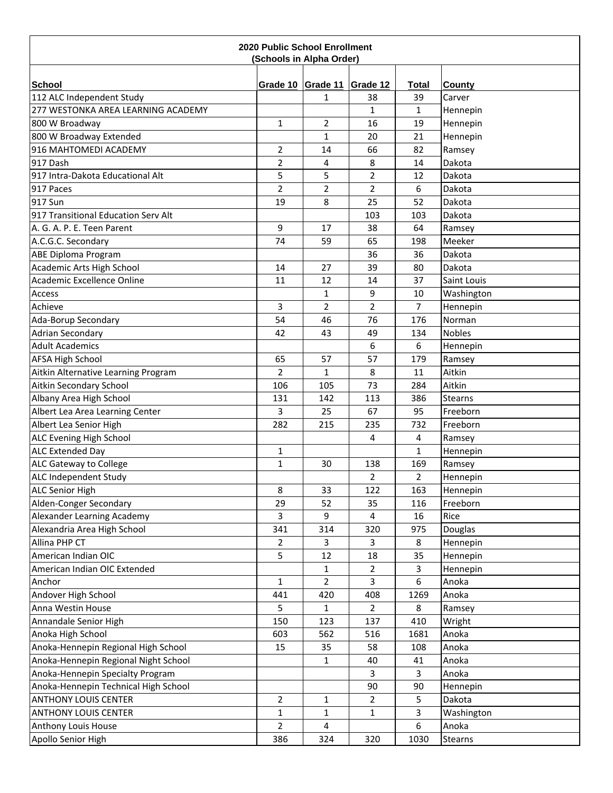| <b>2020 Public School Enrollment</b><br>(Schools in Alpha Order) |                |                        |                |                    |                  |  |  |
|------------------------------------------------------------------|----------------|------------------------|----------------|--------------------|------------------|--|--|
|                                                                  |                |                        |                |                    |                  |  |  |
| <b>School</b><br>112 ALC Independent Study                       |                | Grade 10 Grade 11<br>1 | Grade 12<br>38 | <b>Total</b><br>39 | County<br>Carver |  |  |
| 277 WESTONKA AREA LEARNING ACADEMY                               |                |                        | $\mathbf{1}$   | $\mathbf{1}$       | Hennepin         |  |  |
| 800 W Broadway                                                   | $\mathbf{1}$   | $\overline{2}$         | 16             | 19                 | Hennepin         |  |  |
| 800 W Broadway Extended                                          |                | $\mathbf{1}$           | 20             | 21                 | Hennepin         |  |  |
| 916 MAHTOMEDI ACADEMY                                            | $\overline{2}$ | 14                     | 66             | 82                 | Ramsey           |  |  |
| 917 Dash                                                         | $\overline{2}$ | 4                      | 8              | 14                 | Dakota           |  |  |
| 917 Intra-Dakota Educational Alt                                 | 5              | 5                      | $\overline{2}$ | 12                 | Dakota           |  |  |
| 917 Paces                                                        | $\overline{2}$ | 2                      | $\overline{2}$ | 6                  | Dakota           |  |  |
| 917 Sun                                                          | 19             | 8                      | 25             | 52                 | Dakota           |  |  |
| 917 Transitional Education Serv Alt                              |                |                        | 103            | 103                | Dakota           |  |  |
|                                                                  |                |                        |                |                    |                  |  |  |
| A. G. A. P. E. Teen Parent                                       | 9              | 17                     | 38             | 64                 | Ramsey           |  |  |
| A.C.G.C. Secondary                                               | 74             | 59                     | 65             | 198                | Meeker           |  |  |
| <b>ABE Diploma Program</b>                                       |                |                        | 36             | 36                 | Dakota           |  |  |
| Academic Arts High School                                        | 14             | 27                     | 39             | 80                 | Dakota           |  |  |
| Academic Excellence Online                                       | 11             | 12                     | 14             | 37                 | Saint Louis      |  |  |
| <b>Access</b>                                                    |                | $\mathbf 1$            | 9              | 10                 | Washington       |  |  |
| Achieve                                                          | 3              | $\overline{2}$         | $\overline{2}$ | $\overline{7}$     | Hennepin         |  |  |
| Ada-Borup Secondary                                              | 54             | 46                     | 76             | 176                | Norman           |  |  |
| <b>Adrian Secondary</b>                                          | 42             | 43                     | 49             | 134                | <b>Nobles</b>    |  |  |
| <b>Adult Academics</b>                                           |                |                        | 6              | 6                  | Hennepin         |  |  |
| <b>AFSA High School</b>                                          | 65             | 57                     | 57             | 179                | Ramsey           |  |  |
| Aitkin Alternative Learning Program                              | $\overline{2}$ | $\mathbf{1}$           | 8              | 11                 | Aitkin           |  |  |
| Aitkin Secondary School                                          | 106            | 105                    | 73             | 284                | Aitkin           |  |  |
| Albany Area High School                                          | 131            | 142                    | 113            | 386                | <b>Stearns</b>   |  |  |
| Albert Lea Area Learning Center                                  | 3              | 25                     | 67             | 95                 | Freeborn         |  |  |
| Albert Lea Senior High                                           | 282            | 215                    | 235            | 732                | Freeborn         |  |  |
| <b>ALC Evening High School</b>                                   |                |                        | 4              | 4                  | Ramsey           |  |  |
| <b>ALC Extended Day</b>                                          | 1              |                        |                | $\mathbf{1}$       | Hennepin         |  |  |
| ALC Gateway to College                                           | $\mathbf{1}$   | 30                     | 138            | 169                | Ramsey           |  |  |
| ALC Independent Study                                            |                |                        | $\overline{2}$ | $\overline{2}$     | Hennepin         |  |  |
| <b>ALC Senior High</b>                                           | 8              | 33                     | 122            | 163                | Hennepin         |  |  |
| Alden-Conger Secondary                                           | 29             | 52                     | 35             | 116                | Freeborn         |  |  |
| Alexander Learning Academy                                       | 3              | 9                      | 4              | 16                 | Rice             |  |  |
| Alexandria Area High School                                      | 341            | 314                    | 320            | 975                | Douglas          |  |  |
| Allina PHP CT                                                    | $\overline{2}$ | 3                      | 3              | 8                  | Hennepin         |  |  |
| American Indian OIC                                              | 5              | 12                     | 18             | 35                 | Hennepin         |  |  |
| American Indian OIC Extended                                     |                | $\mathbf{1}$           | $\overline{2}$ | 3                  | Hennepin         |  |  |
| Anchor                                                           | $\mathbf{1}$   | $\overline{2}$         | 3              | 6                  | Anoka            |  |  |
| Andover High School                                              | 441            | 420                    | 408            | 1269               | Anoka            |  |  |
| Anna Westin House                                                | 5              | 1                      | 2              | 8                  | Ramsey           |  |  |
| Annandale Senior High                                            | 150            | 123                    | 137            | 410                | Wright           |  |  |
| Anoka High School                                                | 603            | 562                    | 516            | 1681               | Anoka            |  |  |
| Anoka-Hennepin Regional High School                              | 15             | 35                     | 58             | 108                | Anoka            |  |  |
| Anoka-Hennepin Regional Night School                             |                | $\mathbf{1}$           | 40             | 41                 | Anoka            |  |  |
| Anoka-Hennepin Specialty Program                                 |                |                        | 3              | 3                  | Anoka            |  |  |
| Anoka-Hennepin Technical High School                             |                |                        | 90             | 90                 | Hennepin         |  |  |
| <b>ANTHONY LOUIS CENTER</b>                                      | $\overline{2}$ | 1                      | $\overline{2}$ | 5                  | Dakota           |  |  |
| <b>ANTHONY LOUIS CENTER</b>                                      | $\mathbf{1}$   | $\mathbf{1}$           | $\mathbf{1}$   | 3                  | Washington       |  |  |
| Anthony Louis House                                              | $\overline{2}$ | 4                      |                | 6                  | Anoka            |  |  |
| Apollo Senior High                                               | 386            | 324                    | 320            | 1030               | <b>Stearns</b>   |  |  |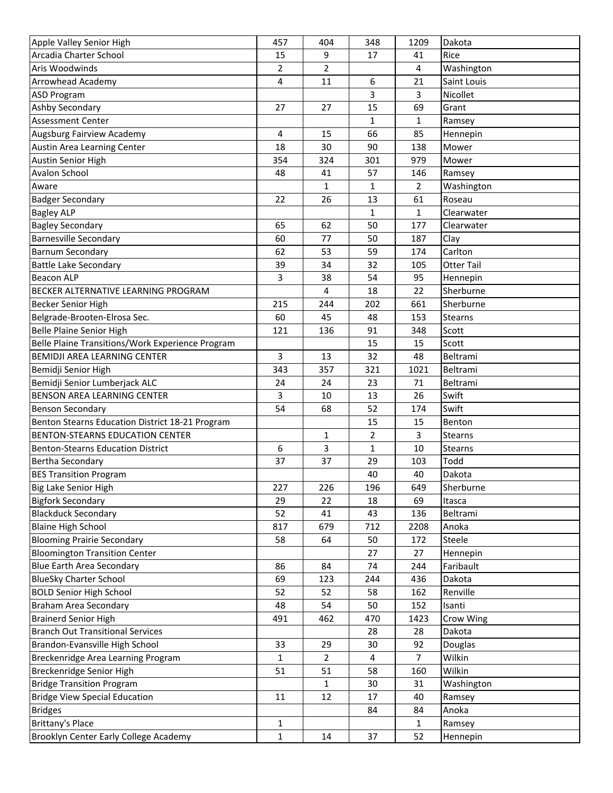| Apple Valley Senior High                         | 457            | 404          | 348            | 1209           | Dakota            |
|--------------------------------------------------|----------------|--------------|----------------|----------------|-------------------|
| Arcadia Charter School                           | 15             | 9            | 17             | 41             | Rice              |
| Aris Woodwinds                                   | $\overline{2}$ | 2            |                | 4              | Washington        |
| <b>Arrowhead Academy</b>                         | 4              | 11           | 6              | 21             | Saint Louis       |
| <b>ASD Program</b>                               |                |              | 3              | 3              | Nicollet          |
| Ashby Secondary                                  | 27             | 27           | 15             | 69             | Grant             |
| <b>Assessment Center</b>                         |                |              | 1              | 1              | Ramsey            |
| Augsburg Fairview Academy                        | 4              | 15           | 66             | 85             | Hennepin          |
| Austin Area Learning Center                      | 18             | 30           | 90             | 138            | Mower             |
| <b>Austin Senior High</b>                        | 354            | 324          | 301            | 979            | Mower             |
| <b>Avalon School</b>                             | 48             | 41           | 57             | 146            | Ramsey            |
| Aware                                            |                | $\mathbf{1}$ | $\mathbf{1}$   | $\overline{2}$ | Washington        |
| <b>Badger Secondary</b>                          | 22             | 26           | 13             | 61             | Roseau            |
| <b>Bagley ALP</b>                                |                |              | 1              | 1              | Clearwater        |
| <b>Bagley Secondary</b>                          | 65             | 62           | 50             | 177            | Clearwater        |
| <b>Barnesville Secondary</b>                     | 60             | 77           | 50             | 187            | Clay              |
| <b>Barnum Secondary</b>                          | 62             | 53           | 59             | 174            | Carlton           |
| <b>Battle Lake Secondary</b>                     | 39             | 34           | 32             | 105            | <b>Otter Tail</b> |
| <b>Beacon ALP</b>                                | 3              |              |                | 95             |                   |
|                                                  |                | 38           | 54             |                | Hennepin          |
| BECKER ALTERNATIVE LEARNING PROGRAM              |                | 4            | 18             | 22             | Sherburne         |
| Becker Senior High                               | 215            | 244          | 202            | 661            | Sherburne         |
| Belgrade-Brooten-Elrosa Sec.                     | 60             | 45           | 48             | 153            | <b>Stearns</b>    |
| Belle Plaine Senior High                         | 121            | 136          | 91             | 348            | Scott             |
| Belle Plaine Transitions/Work Experience Program |                |              | 15             | 15             | Scott             |
| <b>BEMIDJI AREA LEARNING CENTER</b>              | 3              | 13           | 32             | 48             | Beltrami          |
| Bemidji Senior High                              | 343            | 357          | 321            | 1021           | Beltrami          |
| Bemidji Senior Lumberjack ALC                    | 24             | 24           | 23             | 71             | Beltrami          |
| BENSON AREA LEARNING CENTER                      | 3              | 10           | 13             | 26             | Swift             |
| <b>Benson Secondary</b>                          | 54             | 68           | 52             | 174            | Swift             |
| Benton Stearns Education District 18-21 Program  |                |              | 15             | 15             | Benton            |
| <b>BENTON-STEARNS EDUCATION CENTER</b>           |                | $\mathbf{1}$ | $\overline{2}$ | 3              | <b>Stearns</b>    |
| Benton-Stearns Education District                | 6              | 3            | 1              | 10             | Stearns           |
| <b>Bertha Secondary</b>                          | 37             | 37           | 29             | 103            | Todd              |
| <b>BES Transition Program</b>                    |                |              | 40             | 40             | Dakota            |
| Big Lake Senior High                             | 227            | 226          | 196            | 649            | Sherburne         |
| <b>Bigfork Secondary</b>                         | 29             | 22           | 18             | 69             | Itasca            |
| <b>Blackduck Secondary</b>                       | 52             | 41           | 43             | 136            | Beltrami          |
| <b>Blaine High School</b>                        | 817            | 679          | 712            | 2208           | Anoka             |
| <b>Blooming Prairie Secondary</b>                | 58             | 64           | 50             | 172            | Steele            |
| <b>Bloomington Transition Center</b>             |                |              | 27             | 27             | Hennepin          |
| <b>Blue Earth Area Secondary</b>                 | 86             | 84           | 74             | 244            | Faribault         |
| <b>BlueSky Charter School</b>                    | 69             | 123          | 244            | 436            | Dakota            |
| <b>BOLD Senior High School</b>                   | 52             | 52           | 58             | 162            | Renville          |
| <b>Braham Area Secondary</b>                     | 48             | 54           | 50             | 152            | Isanti            |
| <b>Brainerd Senior High</b>                      | 491            | 462          | 470            | 1423           | Crow Wing         |
| <b>Branch Out Transitional Services</b>          |                |              | 28             | 28             | Dakota            |
| Brandon-Evansville High School                   | 33             | 29           | 30             | 92             | Douglas           |
| Breckenridge Area Learning Program               | 1              | 2            | 4              | $\overline{7}$ | Wilkin            |
| Breckenridge Senior High                         | 51             | 51           | 58             | 160            | Wilkin            |
|                                                  |                |              |                |                |                   |
| <b>Bridge Transition Program</b>                 |                | $\mathbf{1}$ | 30             | 31             | Washington        |
| <b>Bridge View Special Education</b>             | 11             | 12           | 17             | 40             | Ramsey            |
| <b>Bridges</b>                                   |                |              | 84             | 84             | Anoka             |
| <b>Brittany's Place</b>                          | 1              |              |                | 1              | Ramsey            |
| Brooklyn Center Early College Academy            | $\mathbf{1}$   | 14           | 37             | 52             | Hennepin          |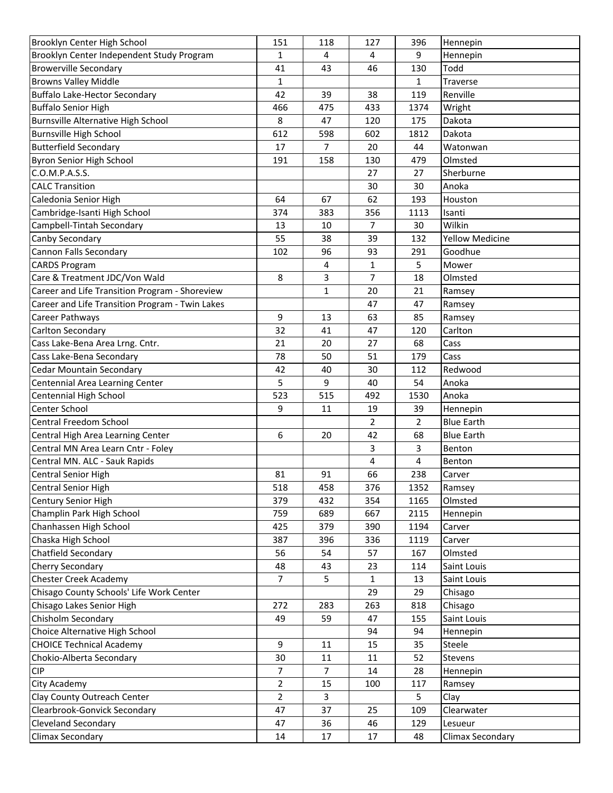| Brooklyn Center High School                     | 151            | 118          | 127            | 396            | Hennepin               |
|-------------------------------------------------|----------------|--------------|----------------|----------------|------------------------|
| Brooklyn Center Independent Study Program       | 1              | 4            | 4              | 9              | Hennepin               |
| <b>Browerville Secondary</b>                    | 41             | 43           | 46             | 130            | Todd                   |
| <b>Browns Valley Middle</b>                     | 1              |              |                | $\mathbf{1}$   | Traverse               |
| Buffalo Lake-Hector Secondary                   | 42             | 39           | 38             | 119            | Renville               |
| <b>Buffalo Senior High</b>                      | 466            | 475          | 433            | 1374           | Wright                 |
| Burnsville Alternative High School              | 8              | 47           | 120            | 175            | Dakota                 |
| <b>Burnsville High School</b>                   | 612            | 598          | 602            | 1812           | Dakota                 |
| <b>Butterfield Secondary</b>                    | 17             | 7            | 20             | 44             | Watonwan               |
| Byron Senior High School                        | 191            | 158          | 130            | 479            | Olmsted                |
| C.O.M.P.A.S.S.                                  |                |              | 27             | 27             | Sherburne              |
| <b>CALC Transition</b>                          |                |              | 30             | 30             | Anoka                  |
| Caledonia Senior High                           | 64             | 67           | 62             | 193            | Houston                |
| Cambridge-Isanti High School                    | 374            | 383          | 356            | 1113           | Isanti                 |
| Campbell-Tintah Secondary                       | 13             | 10           | $\overline{7}$ | 30             | Wilkin                 |
| Canby Secondary                                 | 55             | 38           | 39             | 132            | <b>Yellow Medicine</b> |
| <b>Cannon Falls Secondary</b>                   | 102            | 96           | 93             | 291            | Goodhue                |
| <b>CARDS Program</b>                            |                | 4            | 1              | 5              | Mower                  |
| Care & Treatment JDC/Von Wald                   | 8              | 3            | 7              | 18             | Olmsted                |
| Career and Life Transition Program - Shoreview  |                | $\mathbf{1}$ | 20             | 21             | Ramsey                 |
| Career and Life Transition Program - Twin Lakes |                |              | 47             | 47             | Ramsey                 |
| Career Pathways                                 | 9              | 13           | 63             | 85             | Ramsey                 |
| Carlton Secondary                               | 32             | 41           | 47             | 120            | Carlton                |
| Cass Lake-Bena Area Lrng. Cntr.                 | 21             | 20           | 27             | 68             |                        |
|                                                 |                |              |                |                | Cass                   |
| Cass Lake-Bena Secondary                        | 78             | 50           | 51             | 179            | Cass<br>Redwood        |
| <b>Cedar Mountain Secondary</b>                 | 42<br>5        | 40           | 30             | 112            |                        |
| Centennial Area Learning Center                 |                | 9            | 40             | 54             | Anoka                  |
| Centennial High School                          | 523            | 515          | 492            | 1530           | Anoka                  |
| Center School                                   | 9              | 11           | 19             | 39             | Hennepin               |
| Central Freedom School                          |                |              | 2              | $\overline{2}$ | <b>Blue Earth</b>      |
| Central High Area Learning Center               | 6              | 20           | 42             | 68             | <b>Blue Earth</b>      |
| Central MN Area Learn Cntr - Foley              |                |              | 3              | 3              | Benton                 |
| Central MN. ALC - Sauk Rapids                   |                |              | 4              | 4              | Benton                 |
| Central Senior High                             | 81             | 91           | 66             | 238            | Carver                 |
| Central Senior High                             | 518            | 458          | 376            | 1352           | Ramsey                 |
| Century Senior High                             | 379            | 432          | 354            | 1165           | Olmsted                |
| Champlin Park High School                       | 759            | 689          | 667            | 2115           | Hennepin               |
| Chanhassen High School                          | 425            | 379          | 390            | 1194           | Carver                 |
| Chaska High School                              | 387            | 396          | 336            | 1119           | Carver                 |
| Chatfield Secondary                             | 56             | 54           | 57             | 167            | Olmsted                |
| <b>Cherry Secondary</b>                         | 48             | 43           | 23             | 114            | Saint Louis            |
| <b>Chester Creek Academy</b>                    | $\overline{7}$ | 5            | $\mathbf{1}$   | 13             | Saint Louis            |
| Chisago County Schools' Life Work Center        |                |              | 29             | 29             | Chisago                |
| Chisago Lakes Senior High                       | 272            | 283          | 263            | 818            | Chisago                |
| Chisholm Secondary                              | 49             | 59           | 47             | 155            | Saint Louis            |
| Choice Alternative High School                  |                |              | 94             | 94             | Hennepin               |
| <b>CHOICE Technical Academy</b>                 | 9              | 11           | 15             | 35             | Steele                 |
| Chokio-Alberta Secondary                        | 30             | 11           | 11             | 52             | Stevens                |
| <b>CIP</b>                                      | $\overline{7}$ | 7            | 14             | 28             | Hennepin               |
| City Academy                                    | $\overline{2}$ | 15           | 100            | 117            | Ramsey                 |
| Clay County Outreach Center                     | $\overline{2}$ | 3            |                | 5              | Clay                   |
| Clearbrook-Gonvick Secondary                    | 47             | 37           | 25             | 109            | Clearwater             |
| <b>Cleveland Secondary</b>                      | 47             | 36           | 46             | 129            | Lesueur                |
| <b>Climax Secondary</b>                         | 14             | 17           | 17             | 48             | Climax Secondary       |
|                                                 |                |              |                |                |                        |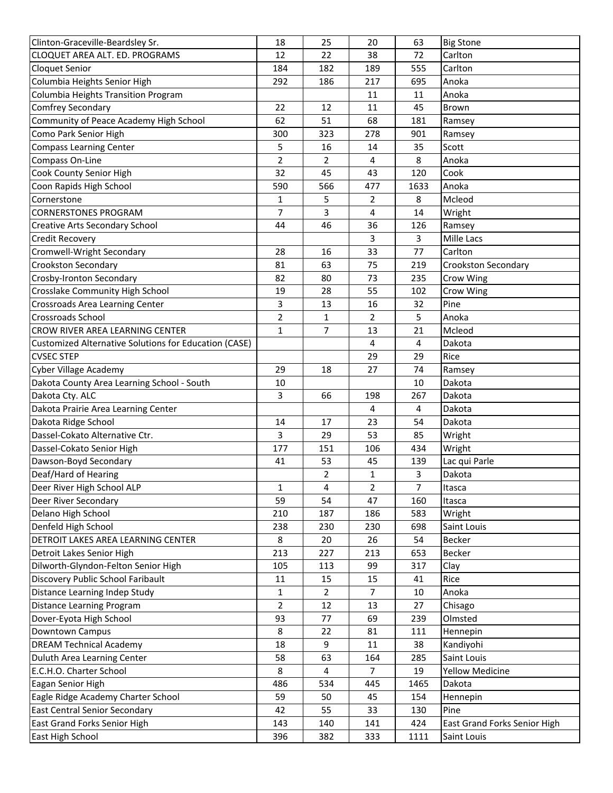| Clinton-Graceville-Beardsley Sr.                             | 18             | 25  | 20             | 63             | <b>Big Stone</b>             |
|--------------------------------------------------------------|----------------|-----|----------------|----------------|------------------------------|
| CLOQUET AREA ALT. ED. PROGRAMS                               | 12             | 22  | 38             | 72             | Carlton                      |
| <b>Cloquet Senior</b>                                        | 184            | 182 | 189            | 555            | Carlton                      |
| Columbia Heights Senior High                                 | 292            | 186 | 217            | 695            | Anoka                        |
| Columbia Heights Transition Program                          |                |     | 11             | 11             | Anoka                        |
| <b>Comfrey Secondary</b>                                     | 22             | 12  | 11             | 45             | Brown                        |
| Community of Peace Academy High School                       | 62             | 51  | 68             | 181            | Ramsey                       |
| Como Park Senior High                                        | 300            | 323 | 278            | 901            | Ramsey                       |
| <b>Compass Learning Center</b>                               | 5              | 16  | 14             | 35             | Scott                        |
| Compass On-Line                                              | $\overline{2}$ | 2   | 4              | 8              | Anoka                        |
| Cook County Senior High                                      | 32             | 45  | 43             | 120            | Cook                         |
| Coon Rapids High School                                      | 590            | 566 | 477            | 1633           | Anoka                        |
| Cornerstone                                                  | 1              | 5   | 2              | 8              | Mcleod                       |
| <b>CORNERSTONES PROGRAM</b>                                  | $\overline{7}$ | 3   | 4              | 14             | Wright                       |
| <b>Creative Arts Secondary School</b>                        | 44             | 46  | 36             | 126            | Ramsey                       |
| <b>Credit Recovery</b>                                       |                |     | 3              | $\overline{3}$ | Mille Lacs                   |
| Cromwell-Wright Secondary                                    | 28             | 16  | 33             | 77             | Carlton                      |
| Crookston Secondary                                          | 81             | 63  | 75             | 219            | <b>Crookston Secondary</b>   |
| Crosby-Ironton Secondary                                     | 82             | 80  | 73             | 235            | Crow Wing                    |
| Crosslake Community High School                              | 19             | 28  | 55             | 102            | Crow Wing                    |
| Crossroads Area Learning Center                              | 3              | 13  | 16             | 32             | Pine                         |
| Crossroads School                                            | $\overline{2}$ | 1   | $\overline{2}$ | 5              | Anoka                        |
| CROW RIVER AREA LEARNING CENTER                              | $\mathbf 1$    | 7   | 13             | 21             | Mcleod                       |
| <b>Customized Alternative Solutions for Education (CASE)</b> |                |     | 4              | 4              | Dakota                       |
| <b>CVSEC STEP</b>                                            |                |     | 29             | 29             | Rice                         |
|                                                              |                |     |                |                |                              |
| Cyber Village Academy                                        | 29             | 18  | 27             | 74             | Ramsey                       |
| Dakota County Area Learning School - South                   | 10             |     |                | 10             | Dakota                       |
| Dakota Cty. ALC                                              | 3              | 66  | 198            | 267            | Dakota                       |
| Dakota Prairie Area Learning Center                          |                |     | 4              | 4              | Dakota                       |
| Dakota Ridge School                                          | 14             | 17  | 23             | 54             | Dakota                       |
| Dassel-Cokato Alternative Ctr.                               | 3              | 29  | 53             | 85             | Wright                       |
| Dassel-Cokato Senior High                                    | 177            | 151 | 106            | 434            | Wright                       |
| Dawson-Boyd Secondary                                        | 41             | 53  | 45             | 139            | Lac qui Parle                |
| Deaf/Hard of Hearing                                         |                | 2   | 1              | 3              | Dakota                       |
| Deer River High School ALP                                   | $\mathbf 1$    | 4   | $\overline{a}$ | $\overline{7}$ | Itasca                       |
| Deer River Secondary                                         | 59             | 54  | 47             | 160            | Itasca                       |
| Delano High School                                           | 210            | 187 | 186            | 583            | Wright                       |
| Denfeld High School                                          | 238            | 230 | 230            | 698            | Saint Louis                  |
| DETROIT LAKES AREA LEARNING CENTER                           | 8              | 20  | 26             | 54             | <b>Becker</b>                |
| Detroit Lakes Senior High                                    | 213            | 227 | 213            | 653            | <b>Becker</b>                |
| Dilworth-Glyndon-Felton Senior High                          | 105            | 113 | 99             | 317            | Clay                         |
| Discovery Public School Faribault                            | 11             | 15  | 15             | 41             | Rice                         |
| Distance Learning Indep Study                                | 1              | 2   | 7              | 10             | Anoka                        |
| <b>Distance Learning Program</b>                             | $\overline{2}$ | 12  | 13             | 27             | Chisago                      |
| Dover-Eyota High School                                      | 93             | 77  | 69             | 239            | Olmsted                      |
| Downtown Campus                                              | 8              | 22  | 81             | 111            | Hennepin                     |
| <b>DREAM Technical Academy</b>                               | 18             | 9   | 11             | 38             | Kandiyohi                    |
| Duluth Area Learning Center                                  | 58             | 63  | 164            | 285            | Saint Louis                  |
| E.C.H.O. Charter School                                      | 8              | 4   | $\overline{7}$ | 19             | <b>Yellow Medicine</b>       |
| Eagan Senior High                                            | 486            | 534 | 445            | 1465           | Dakota                       |
| Eagle Ridge Academy Charter School                           | 59             | 50  | 45             | 154            | Hennepin                     |
| <b>East Central Senior Secondary</b>                         | 42             | 55  | 33             | 130            | Pine                         |
| East Grand Forks Senior High                                 | 143            | 140 | 141            | 424            | East Grand Forks Senior High |
| East High School                                             | 396            | 382 | 333            | 1111           | Saint Louis                  |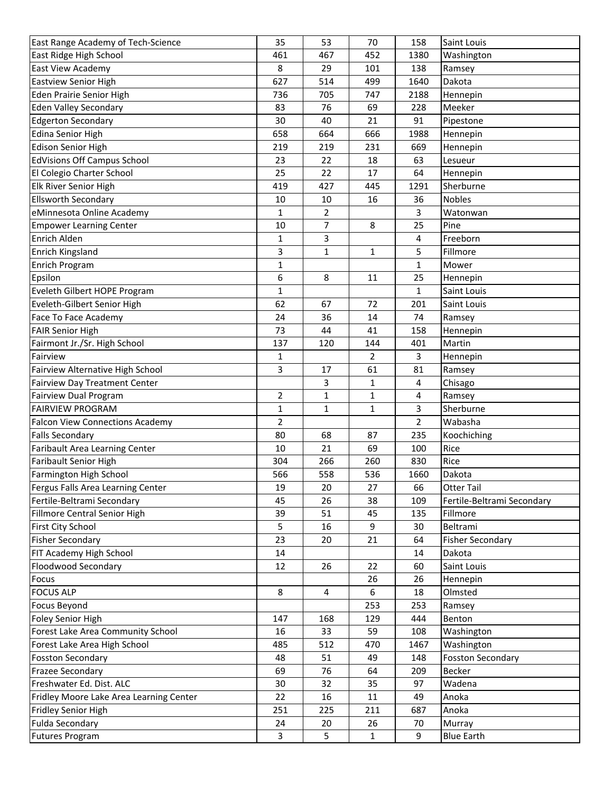| East Range Academy of Tech-Science                 | 35             | 53           | 70             | 158            | Saint Louis                       |
|----------------------------------------------------|----------------|--------------|----------------|----------------|-----------------------------------|
| East Ridge High School                             | 461            | 467          | 452            | 1380           | Washington                        |
| East View Academy                                  | 8              | 29           | 101            | 138            | Ramsey                            |
| <b>Eastview Senior High</b>                        | 627            | 514          | 499            | 1640           | Dakota                            |
| Eden Prairie Senior High                           | 736            | 705          | 747            | 2188           | Hennepin                          |
| <b>Eden Valley Secondary</b>                       | 83             | 76           | 69             | 228            | Meeker                            |
| <b>Edgerton Secondary</b>                          | 30             | 40           | 21             | 91             | Pipestone                         |
| <b>Edina Senior High</b>                           | 658            | 664          | 666            | 1988           | Hennepin                          |
| <b>Edison Senior High</b>                          | 219            | 219          | 231            | 669            | Hennepin                          |
| <b>EdVisions Off Campus School</b>                 | 23             | 22           | 18             | 63             | Lesueur                           |
| El Colegio Charter School                          | 25             | 22           | 17             | 64             | Hennepin                          |
| Elk River Senior High                              | 419            | 427          | 445            | 1291           | Sherburne                         |
| <b>Ellsworth Secondary</b>                         | 10             | 10           | 16             | 36             | <b>Nobles</b>                     |
| eMinnesota Online Academy                          | 1              | 2            |                | 3              | Watonwan                          |
| <b>Empower Learning Center</b>                     | 10             | 7            | 8              | 25             | Pine                              |
| Enrich Alden                                       | 1              | 3            |                | 4              | Freeborn                          |
| Enrich Kingsland                                   | 3              | 1            | 1              | 5              | Fillmore                          |
| Enrich Program                                     | $\mathbf{1}$   |              |                | $\mathbf{1}$   | Mower                             |
| Epsilon                                            | 6              | 8            | 11             | 25             | Hennepin                          |
| Eveleth Gilbert HOPE Program                       | 1              |              |                | $\mathbf{1}$   | Saint Louis                       |
| Eveleth-Gilbert Senior High                        | 62             | 67           | 72             | 201            | Saint Louis                       |
| Face To Face Academy                               | 24             | 36           | 14             | 74             | Ramsey                            |
| <b>FAIR Senior High</b>                            | 73             | 44           | 41             | 158            | Hennepin                          |
| Fairmont Jr./Sr. High School                       | 137            | 120          | 144            | 401            | Martin                            |
| Fairview                                           | 1              |              | $\overline{2}$ | 3              | Hennepin                          |
| Fairview Alternative High School                   | 3              | 17           | 61             | 81             | Ramsey                            |
| <b>Fairview Day Treatment Center</b>               |                | 3            | 1              | 4              | Chisago                           |
| Fairview Dual Program                              | $\overline{2}$ | 1            | 1              | 4              | Ramsey                            |
| <b>FAIRVIEW PROGRAM</b>                            | $\mathbf{1}$   | $\mathbf{1}$ | $\mathbf{1}$   | 3              | Sherburne                         |
| <b>Falcon View Connections Academy</b>             | 2              |              |                | $\overline{2}$ | Wabasha                           |
| <b>Falls Secondary</b>                             | 80             | 68           | 87             | 235            | Koochiching                       |
| Faribault Area Learning Center                     | 10             | 21           | 69             | 100            | Rice                              |
| <b>Faribault Senior High</b>                       | 304            | 266          | 260            | 830            | Rice                              |
| Farmington High School                             | 566            | 558          | 536            | 1660           | Dakota                            |
| Fergus Falls Area Learning Center                  | 19             | 20           | 27             | 66             | <b>Otter Tail</b>                 |
|                                                    |                |              |                |                |                                   |
| Fertile-Beltrami Secondary                         | 45             | 26           | 38             | 109            | Fertile-Beltrami Secondary        |
| Fillmore Central Senior High                       | 39<br>5        | 51           | 45<br>9        | 135<br>30      | Fillmore<br>Beltrami              |
| First City School                                  | 23             | 16           |                | 64             |                                   |
| <b>Fisher Secondary</b><br>FIT Academy High School |                | 20           | 21             | 14             | <b>Fisher Secondary</b><br>Dakota |
|                                                    | 14             |              |                |                |                                   |
| Floodwood Secondary                                | 12             | 26           | 22             | 60             | Saint Louis                       |
| Focus                                              |                |              | 26             | 26             | Hennepin                          |
| <b>FOCUS ALP</b>                                   | 8              | 4            | 6              | 18             | Olmsted                           |
| <b>Focus Beyond</b>                                |                |              | 253            | 253            | Ramsey                            |
| Foley Senior High                                  | 147            | 168          | 129            | 444            | Benton                            |
| Forest Lake Area Community School                  | 16             | 33           | 59             | 108            | Washington                        |
| Forest Lake Area High School                       | 485            | 512          | 470            | 1467           | Washington                        |
| <b>Fosston Secondary</b>                           | 48             | 51           | 49             | 148            | <b>Fosston Secondary</b>          |
| <b>Frazee Secondary</b>                            | 69             | 76           | 64             | 209            | <b>Becker</b>                     |
| Freshwater Ed. Dist. ALC                           | 30             | 32           | 35             | 97             | Wadena                            |
| Fridley Moore Lake Area Learning Center            | 22             | 16           | 11             | 49             | Anoka                             |
| <b>Fridley Senior High</b>                         | 251            | 225          | 211            | 687            | Anoka                             |
| <b>Fulda Secondary</b>                             | 24             | 20           | 26             | 70             | Murray                            |
| <b>Futures Program</b>                             | 3              | 5            | $\mathbf{1}$   | 9              | <b>Blue Earth</b>                 |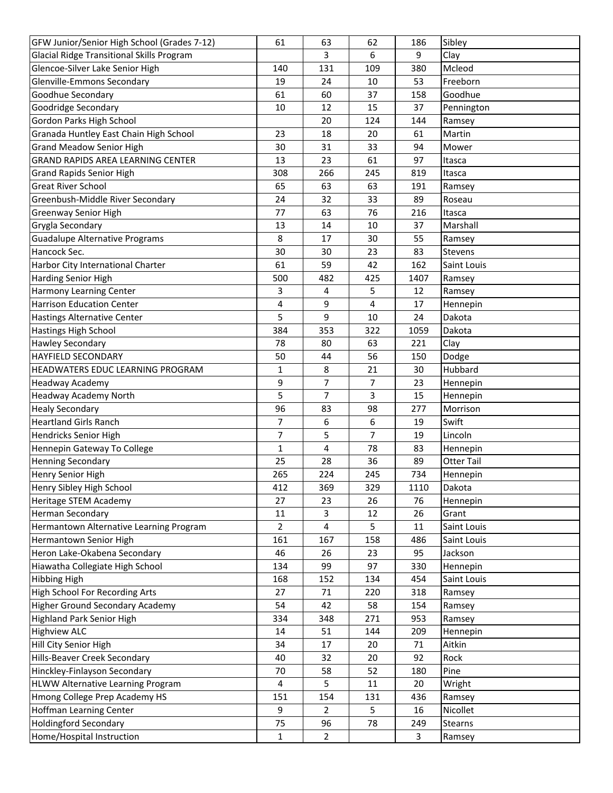| GFW Junior/Senior High School (Grades 7-12)      | 61             | 63             | 62  | 186            | Sibley            |
|--------------------------------------------------|----------------|----------------|-----|----------------|-------------------|
| <b>Glacial Ridge Transitional Skills Program</b> |                | 3              | 6   | 9              | Clay              |
| Glencoe-Silver Lake Senior High                  | 140            | 131            | 109 | 380            | Mcleod            |
| Glenville-Emmons Secondary                       | 19             | 24             | 10  | 53             | Freeborn          |
| Goodhue Secondary                                | 61             | 60             | 37  | 158            | Goodhue           |
| Goodridge Secondary                              | 10             | 12             | 15  | 37             | Pennington        |
| Gordon Parks High School                         |                | 20             | 124 | 144            | Ramsey            |
| Granada Huntley East Chain High School           | 23             | 18             | 20  | 61             | Martin            |
| <b>Grand Meadow Senior High</b>                  | 30             | 31             | 33  | 94             | Mower             |
| <b>GRAND RAPIDS AREA LEARNING CENTER</b>         | 13             | 23             | 61  | 97             | Itasca            |
| <b>Grand Rapids Senior High</b>                  | 308            | 266            | 245 | 819            | Itasca            |
| <b>Great River School</b>                        | 65             | 63             | 63  | 191            | Ramsey            |
| Greenbush-Middle River Secondary                 | 24             | 32             | 33  | 89             | Roseau            |
| <b>Greenway Senior High</b>                      | 77             | 63             | 76  | 216            | Itasca            |
| Grygla Secondary                                 | 13             | 14             | 10  | 37             | Marshall          |
| Guadalupe Alternative Programs                   | 8              | 17             | 30  | 55             | Ramsey            |
| Hancock Sec.                                     | 30             | 30             | 23  | 83             | <b>Stevens</b>    |
| Harbor City International Charter                | 61             | 59             | 42  | 162            | Saint Louis       |
| <b>Harding Senior High</b>                       | 500            | 482            | 425 | 1407           | Ramsey            |
| <b>Harmony Learning Center</b>                   | 3              | 4              | 5   | 12             | Ramsey            |
| <b>Harrison Education Center</b>                 | 4              | 9              | 4   | 17             | Hennepin          |
| <b>Hastings Alternative Center</b>               | 5              | 9              | 10  | 24             | Dakota            |
| Hastings High School                             | 384            | 353            | 322 | 1059           | Dakota            |
| <b>Hawley Secondary</b>                          | 78             | 80             | 63  | 221            | Clay              |
| <b>HAYFIELD SECONDARY</b>                        | 50             | 44             | 56  | 150            | Dodge             |
| <b>HEADWATERS EDUC LEARNING PROGRAM</b>          | 1              | 8              | 21  | 30             | Hubbard           |
| <b>Headway Academy</b>                           | 9              | 7              | 7   | 23             | Hennepin          |
| Headway Academy North                            | 5              | 7              | 3   | 15             | Hennepin          |
| <b>Healy Secondary</b>                           | 96             | 83             | 98  | 277            | Morrison          |
| <b>Heartland Girls Ranch</b>                     | 7              | 6              | 6   | 19             | Swift             |
| Hendricks Senior High                            | 7              | 5              | 7   | 19             | Lincoln           |
| Hennepin Gateway To College                      | $\mathbf{1}$   | 4              | 78  | 83             | Hennepin          |
| <b>Henning Secondary</b>                         | 25             | 28             | 36  | 89             | <b>Otter Tail</b> |
| Henry Senior High                                | 265            | 224            | 245 | 734            | Hennepin          |
| Henry Sibley High School                         | 412            | 369            | 329 | 1110           | Dakota            |
| Heritage STEM Academy                            | 27             | 23             | 26  | 76             | Hennepin          |
| <b>Herman Secondary</b>                          | 11             | 3              | 12  | 26             | Grant             |
| Hermantown Alternative Learning Program          | $\overline{2}$ | 4              | 5   | 11             | Saint Louis       |
| Hermantown Senior High                           | 161            | 167            | 158 | 486            | Saint Louis       |
| Heron Lake-Okabena Secondary                     | 46             | 26             | 23  | 95             | Jackson           |
| Hiawatha Collegiate High School                  | 134            | 99             | 97  | 330            | Hennepin          |
| <b>Hibbing High</b>                              | 168            | 152            | 134 | 454            | Saint Louis       |
| High School For Recording Arts                   | 27             | 71             | 220 | 318            | Ramsey            |
| <b>Higher Ground Secondary Academy</b>           | 54             | 42             | 58  | 154            | Ramsey            |
| <b>Highland Park Senior High</b>                 | 334            |                |     | 953            |                   |
|                                                  |                | 348            | 271 |                | Ramsey            |
| <b>Highview ALC</b>                              | 14             | 51             | 144 | 209            | Hennepin          |
| Hill City Senior High                            | 34             | 17             | 20  | 71             | Aitkin            |
| Hills-Beaver Creek Secondary                     | 40             | 32             | 20  | 92             | Rock              |
| Hinckley-Finlayson Secondary                     | 70             | 58             | 52  | 180            | Pine              |
| HLWW Alternative Learning Program                | 4              | 5              | 11  | 20             | Wright            |
| Hmong College Prep Academy HS                    | 151            | 154            | 131 | 436            | Ramsey            |
| <b>Hoffman Learning Center</b>                   | 9              | 2              | 5   | 16             | Nicollet          |
| <b>Holdingford Secondary</b>                     | 75             | 96             | 78  | 249            | Stearns           |
| Home/Hospital Instruction                        | $\mathbf{1}$   | $\overline{2}$ |     | $\overline{3}$ | Ramsey            |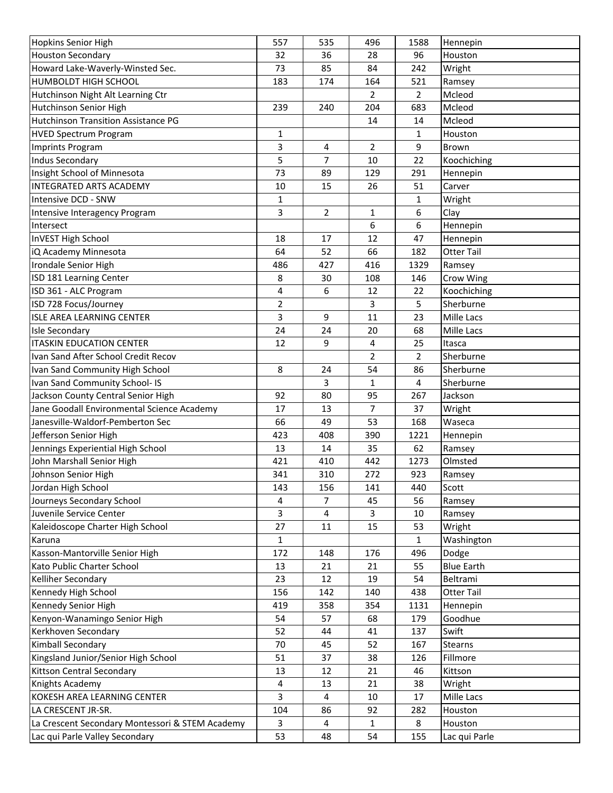| <b>Hopkins Senior High</b>                      | 557          | 535 | 496            | 1588           | Hennepin          |
|-------------------------------------------------|--------------|-----|----------------|----------------|-------------------|
| <b>Houston Secondary</b>                        | 32           | 36  | 28             | 96             | Houston           |
| Howard Lake-Waverly-Winsted Sec.                | 73           | 85  | 84             | 242            | Wright            |
| <b>HUMBOLDT HIGH SCHOOL</b>                     | 183          | 174 | 164            | 521            | Ramsey            |
| Hutchinson Night Alt Learning Ctr               |              |     | $\overline{2}$ | $\overline{2}$ | Mcleod            |
| Hutchinson Senior High                          | 239          | 240 | 204            | 683            | Mcleod            |
| <b>Hutchinson Transition Assistance PG</b>      |              |     | 14             | 14             | Mcleod            |
| <b>HVED Spectrum Program</b>                    | 1            |     |                | 1              | Houston           |
| Imprints Program                                | 3            | 4   | $\overline{2}$ | 9              | Brown             |
| Indus Secondary                                 | 5            | 7   | 10             | 22             | Koochiching       |
| Insight School of Minnesota                     | 73           | 89  | 129            | 291            | Hennepin          |
| <b>INTEGRATED ARTS ACADEMY</b>                  | 10           | 15  | 26             | 51             | Carver            |
| Intensive DCD - SNW                             | 1            |     |                | 1              | Wright            |
| Intensive Interagency Program                   | 3            | 2   | 1              | 6              | Clay              |
| Intersect                                       |              |     | 6              | 6              | Hennepin          |
| InVEST High School                              | 18           | 17  | 12             | 47             | Hennepin          |
| iQ Academy Minnesota                            | 64           | 52  | 66             | 182            | <b>Otter Tail</b> |
| Irondale Senior High                            | 486          | 427 | 416            | 1329           | Ramsey            |
| ISD 181 Learning Center                         | 8            | 30  | 108            | 146            | Crow Wing         |
| ISD 361 - ALC Program                           | 4            | 6   | 12             | 22             | Koochiching       |
| ISD 728 Focus/Journey                           | 2            |     | 3              | 5              | Sherburne         |
| <b>ISLE AREA LEARNING CENTER</b>                | 3            | 9   | 11             | 23             | Mille Lacs        |
| <b>Isle Secondary</b>                           | 24           | 24  | 20             | 68             | Mille Lacs        |
| <b>ITASKIN EDUCATION CENTER</b>                 | 12           | 9   | 4              | 25             | Itasca            |
| Ivan Sand After School Credit Recov             |              |     | $\overline{2}$ | $\overline{2}$ | Sherburne         |
| Ivan Sand Community High School                 | 8            | 24  | 54             | 86             | Sherburne         |
| Ivan Sand Community School- IS                  |              | 3   | $\mathbf{1}$   | 4              | Sherburne         |
| Jackson County Central Senior High              | 92           | 80  | 95             | 267            | Jackson           |
| Jane Goodall Environmental Science Academy      | 17           | 13  | $\overline{7}$ | 37             | Wright            |
| Janesville-Waldorf-Pemberton Sec                | 66           | 49  | 53             | 168            | Waseca            |
| Jefferson Senior High                           | 423          | 408 | 390            | 1221           | Hennepin          |
| Jennings Experiential High School               | 13           | 14  | 35             | 62             | Ramsey            |
| John Marshall Senior High                       | 421          | 410 | 442            | 1273           | Olmsted           |
| Johnson Senior High                             | 341          | 310 | 272            | 923            | Ramsey            |
| Jordan High School                              | 143          | 156 | 141            | 440            | Scott             |
| Journeys Secondary School                       | 4            | 7   | 45             | 56             | Ramsey            |
| Juvenile Service Center                         | 3            | 4   | 3              | 10             | Ramsey            |
| Kaleidoscope Charter High School                | 27           | 11  | 15             | 53             | Wright            |
| Karuna                                          | $\mathbf{1}$ |     |                | $\mathbf{1}$   | Washington        |
| Kasson-Mantorville Senior High                  | 172          | 148 | 176            | 496            | Dodge             |
| Kato Public Charter School                      | 13           | 21  | 21             | 55             | <b>Blue Earth</b> |
| Kelliher Secondary                              | 23           | 12  | 19             | 54             | Beltrami          |
| Kennedy High School                             | 156          | 142 | 140            | 438            | <b>Otter Tail</b> |
| Kennedy Senior High                             | 419          | 358 | 354            | 1131           | Hennepin          |
| Kenyon-Wanamingo Senior High                    | 54           | 57  | 68             | 179            | Goodhue           |
| Kerkhoven Secondary                             | 52           | 44  | 41             | 137            | Swift             |
| Kimball Secondary                               | 70           | 45  | 52             | 167            | Stearns           |
| Kingsland Junior/Senior High School             | 51           | 37  | 38             | 126            | Fillmore          |
| <b>Kittson Central Secondary</b>                | 13           | 12  | 21             | 46             | Kittson           |
| Knights Academy                                 | 4            | 13  | 21             | 38             | Wright            |
| KOKESH AREA LEARNING CENTER                     | 3            | 4   | 10             | 17             | Mille Lacs        |
| LA CRESCENT JR-SR.                              | 104          | 86  | 92             | 282            | Houston           |
| La Crescent Secondary Montessori & STEM Academy | 3            | 4   | 1              | 8              | Houston           |
| Lac qui Parle Valley Secondary                  | 53           | 48  | 54             | 155            | Lac qui Parle     |
|                                                 |              |     |                |                |                   |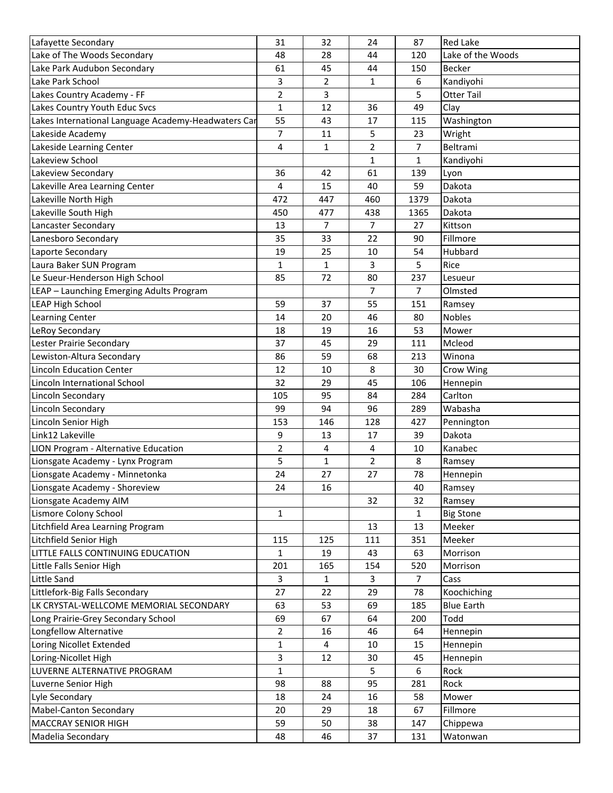| Lafayette Secondary                                 | 31           | 32           | 24             | 87             | <b>Red Lake</b>   |
|-----------------------------------------------------|--------------|--------------|----------------|----------------|-------------------|
| Lake of The Woods Secondary                         | 48           | 28           | 44             | 120            | Lake of the Woods |
| Lake Park Audubon Secondary                         | 61           | 45           | 44             | 150            | <b>Becker</b>     |
| Lake Park School                                    | 3            | 2            | 1              | 6              | Kandiyohi         |
| Lakes Country Academy - FF                          | 2            | 3            |                | 5              | <b>Otter Tail</b> |
| Lakes Country Youth Educ Svcs                       | $\mathbf 1$  | 12           | 36             | 49             | Clay              |
| Lakes International Language Academy-Headwaters Car | 55           | 43           | 17             | 115            | Washington        |
| Lakeside Academy                                    | 7            | 11           | 5              | 23             | Wright            |
| Lakeside Learning Center                            | 4            | 1            | $\overline{2}$ | $\overline{7}$ | Beltrami          |
| Lakeview School                                     |              |              | 1              | $\mathbf{1}$   | Kandiyohi         |
| Lakeview Secondary                                  | 36           | 42           | 61             | 139            | Lyon              |
| Lakeville Area Learning Center                      | 4            | 15           | 40             | 59             | Dakota            |
| Lakeville North High                                | 472          | 447          | 460            | 1379           | Dakota            |
| Lakeville South High                                | 450          | 477          | 438            | 1365           | Dakota            |
| Lancaster Secondary                                 | 13           | 7            | $\overline{7}$ | 27             | Kittson           |
| Lanesboro Secondary                                 | 35           | 33           | 22             | 90             | Fillmore          |
| Laporte Secondary                                   | 19           | 25           | 10             | 54             | Hubbard           |
| Laura Baker SUN Program                             | 1            | 1            | 3              | 5              | Rice              |
| Le Sueur-Henderson High School                      | 85           | 72           | 80             | 237            | Lesueur           |
| LEAP - Launching Emerging Adults Program            |              |              | 7              | 7              | Olmsted           |
| <b>LEAP High School</b>                             | 59           | 37           | 55             | 151            | Ramsey            |
|                                                     | 14           | 20           | 46             | 80             | <b>Nobles</b>     |
| Learning Center                                     |              |              |                |                |                   |
| LeRoy Secondary                                     | 18           | 19           | 16             | 53             | Mower             |
| Lester Prairie Secondary                            | 37           | 45           | 29             | 111            | Mcleod            |
| Lewiston-Altura Secondary                           | 86           | 59           | 68             | 213            | Winona            |
| <b>Lincoln Education Center</b>                     | 12           | 10           | 8              | 30             | Crow Wing         |
| Lincoln International School                        | 32           | 29           | 45             | 106            | Hennepin          |
| Lincoln Secondary                                   | 105          | 95           | 84             | 284            | Carlton           |
| Lincoln Secondary                                   | 99           | 94           | 96             | 289            | Wabasha           |
| Lincoln Senior High                                 | 153          | 146          | 128            | 427            | Pennington        |
| Link12 Lakeville                                    | 9            | 13           | 17             | 39             | Dakota            |
| LION Program - Alternative Education                | 2            | 4            | 4              | 10             | Kanabec           |
| Lionsgate Academy - Lynx Program                    | 5            | $\mathbf{1}$ | $\overline{2}$ | 8              | Ramsey            |
| Lionsgate Academy - Minnetonka                      | 24           | 27           | 27             | 78             | Hennepin          |
| Lionsgate Academy - Shoreview                       | 24           | 16           |                | 40             | Ramsey            |
| Lionsgate Academy AIM                               |              |              | 32             | 32             | Ramsey            |
| <b>Lismore Colony School</b>                        | $\mathbf{1}$ |              |                | $\mathbf{1}$   | <b>Big Stone</b>  |
| Litchfield Area Learning Program                    |              |              | 13             | 13             | Meeker            |
| Litchfield Senior High                              | 115          | 125          | 111            | 351            | Meeker            |
| LITTLE FALLS CONTINUING EDUCATION                   | 1            | 19           | 43             | 63             | Morrison          |
| Little Falls Senior High                            | 201          | 165          | 154            | 520            | Morrison          |
| Little Sand                                         | 3            | 1            | 3              | 7              | Cass              |
| Littlefork-Big Falls Secondary                      | 27           | 22           | 29             | 78             | Koochiching       |
| LK CRYSTAL-WELLCOME MEMORIAL SECONDARY              | 63           | 53           | 69             | 185            | <b>Blue Earth</b> |
| Long Prairie-Grey Secondary School                  | 69           | 67           | 64             | 200            | Todd              |
| Longfellow Alternative                              | 2            | 16           | 46             | 64             | Hennepin          |
| Loring Nicollet Extended                            | 1            | 4            | 10             | 15             | Hennepin          |
| Loring-Nicollet High                                | 3            | 12           | 30             | 45             | Hennepin          |
| LUVERNE ALTERNATIVE PROGRAM                         | $\mathbf 1$  |              | 5              | 6              | Rock              |
| Luverne Senior High                                 | 98           | 88           | 95             | 281            | Rock              |
| Lyle Secondary                                      | 18           | 24           | 16             | 58             | Mower             |
| Mabel-Canton Secondary                              | 20           | 29           | 18             | 67             | Fillmore          |
| <b>MACCRAY SENIOR HIGH</b>                          | 59           | 50           | 38             | 147            | Chippewa          |
| Madelia Secondary                                   | 48           | 46           | 37             | 131            | Watonwan          |
|                                                     |              |              |                |                |                   |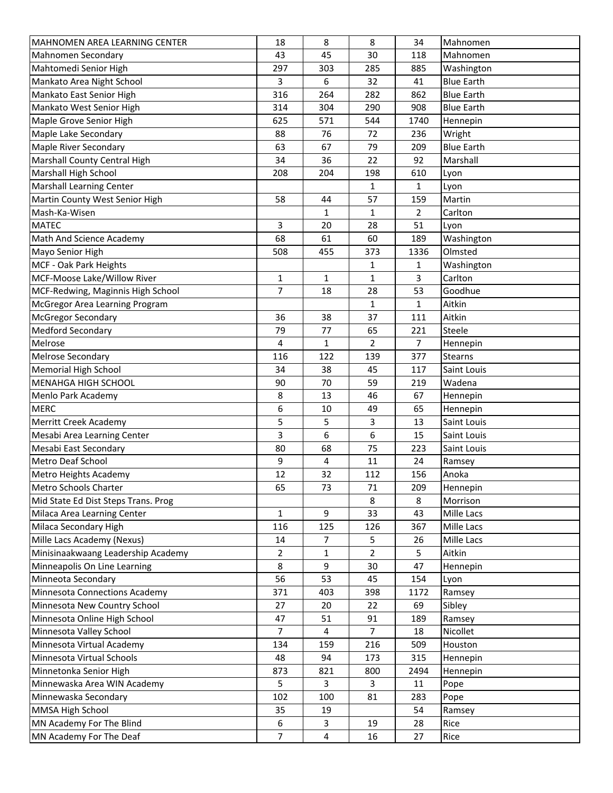| MAHNOMEN AREA LEARNING CENTER              | 18             | 8            | 8              | 34             | Mahnomen                   |
|--------------------------------------------|----------------|--------------|----------------|----------------|----------------------------|
| Mahnomen Secondary                         | 43             | 45           | 30             | 118            | Mahnomen                   |
| Mahtomedi Senior High                      | 297            | 303          | 285            | 885            | Washington                 |
| Mankato Area Night School                  | 3              | 6            | 32             | 41             | <b>Blue Earth</b>          |
| Mankato East Senior High                   | 316            | 264          | 282            | 862            | <b>Blue Earth</b>          |
| Mankato West Senior High                   | 314            | 304          | 290            | 908            | <b>Blue Earth</b>          |
| Maple Grove Senior High                    | 625            | 571          | 544            | 1740           | Hennepin                   |
| Maple Lake Secondary                       | 88             | 76           | 72             | 236            | Wright                     |
| Maple River Secondary                      | 63             | 67           | 79             | 209            | <b>Blue Earth</b>          |
| Marshall County Central High               | 34             | 36           | 22             | 92             | Marshall                   |
| <b>Marshall High School</b>                | 208            | 204          | 198            | 610            | Lyon                       |
| <b>Marshall Learning Center</b>            |                |              | $\mathbf{1}$   | $\mathbf{1}$   | Lyon                       |
| Martin County West Senior High             | 58             | 44           | 57             | 159            | Martin                     |
| Mash-Ka-Wisen                              |                | 1            | 1              | $\overline{2}$ | Carlton                    |
| <b>MATEC</b>                               | 3              | 20           | 28             | 51             | Lyon                       |
| Math And Science Academy                   | 68             | 61           | 60             | 189            | Washington                 |
| Mayo Senior High                           | 508            | 455          | 373            | 1336           | Olmsted                    |
| MCF - Oak Park Heights                     |                |              | 1              | $\mathbf{1}$   | Washington                 |
| MCF-Moose Lake/Willow River                | 1              | $\mathbf{1}$ | 1              | 3              | Carlton                    |
| MCF-Redwing, Maginnis High School          | $\overline{7}$ | 18           | 28             | 53             | Goodhue                    |
| McGregor Area Learning Program             |                |              | $\mathbf{1}$   | $\mathbf{1}$   | Aitkin                     |
| <b>McGregor Secondary</b>                  | 36             | 38           | 37             | 111            | Aitkin                     |
| <b>Medford Secondary</b>                   | 79             | 77           | 65             | 221            | Steele                     |
| Melrose                                    | 4              | $\mathbf{1}$ | $\overline{2}$ | $\overline{7}$ | Hennepin                   |
| <b>Melrose Secondary</b>                   | 116            | 122          | 139            | 377            | <b>Stearns</b>             |
| <b>Memorial High School</b>                | 34             | 38           | 45             | 117            | Saint Louis                |
| MENAHGA HIGH SCHOOL                        | 90             | 70           | 59             | 219            | Wadena                     |
| Menlo Park Academy                         | 8              | 13           | 46             | 67             | Hennepin                   |
| <b>MERC</b>                                | 6              | 10           | 49             | 65             | Hennepin                   |
| Merritt Creek Academy                      | 5              | 5            | 3              | 13             | Saint Louis                |
| Mesabi Area Learning Center                |                |              |                |                |                            |
|                                            | 3<br>80        | 6<br>68      | 6<br>75        | 15<br>223      | Saint Louis<br>Saint Louis |
| Mesabi East Secondary<br>Metro Deaf School |                | 4            |                | 24             |                            |
|                                            | 9              |              | 11             |                | Ramsey                     |
| Metro Heights Academy                      | 12             | 32           | 112            | 156            | Anoka                      |
| Metro Schools Charter                      | 65             | 73           | 71             | 209            | Hennepin                   |
| Mid State Ed Dist Steps Trans. Prog        |                |              | 8              | 8              | Morrison                   |
| Milaca Area Learning Center                | $\mathbf{1}$   | 9            | 33             | 43             | Mille Lacs                 |
| Milaca Secondary High                      | 116            | 125          | 126            | 367            | Mille Lacs                 |
| Mille Lacs Academy (Nexus)                 | 14             | 7            | 5              | 26             | Mille Lacs                 |
| Minisinaakwaang Leadership Academy         | $\overline{2}$ | $\mathbf{1}$ | $\overline{2}$ | 5              | Aitkin                     |
| Minneapolis On Line Learning               | 8              | 9            | 30             | 47             | Hennepin                   |
| Minneota Secondary                         | 56             | 53           | 45             | 154            | Lyon                       |
| Minnesota Connections Academy              | 371            | 403          | 398            | 1172           | Ramsey                     |
| Minnesota New Country School               | 27             | 20           | 22             | 69             | Sibley                     |
| Minnesota Online High School               | 47             | 51           | 91             | 189            | Ramsey                     |
| Minnesota Valley School                    | 7              | 4            | $\overline{7}$ | 18             | Nicollet                   |
| Minnesota Virtual Academy                  | 134            | 159          | 216            | 509            | Houston                    |
| Minnesota Virtual Schools                  | 48             | 94           | 173            | 315            | Hennepin                   |
| Minnetonka Senior High                     | 873            | 821          | 800            | 2494           | Hennepin                   |
| Minnewaska Area WIN Academy                | 5              | 3            | 3              | 11             | Pope                       |
| Minnewaska Secondary                       | 102            | 100          | 81             | 283            | Pope                       |
| MMSA High School                           | 35             | 19           |                | 54             | Ramsey                     |
| MN Academy For The Blind                   | 6              | 3            | 19             | 28             | Rice                       |
| MN Academy For The Deaf                    | $\overline{7}$ | 4            | 16             | 27             | Rice                       |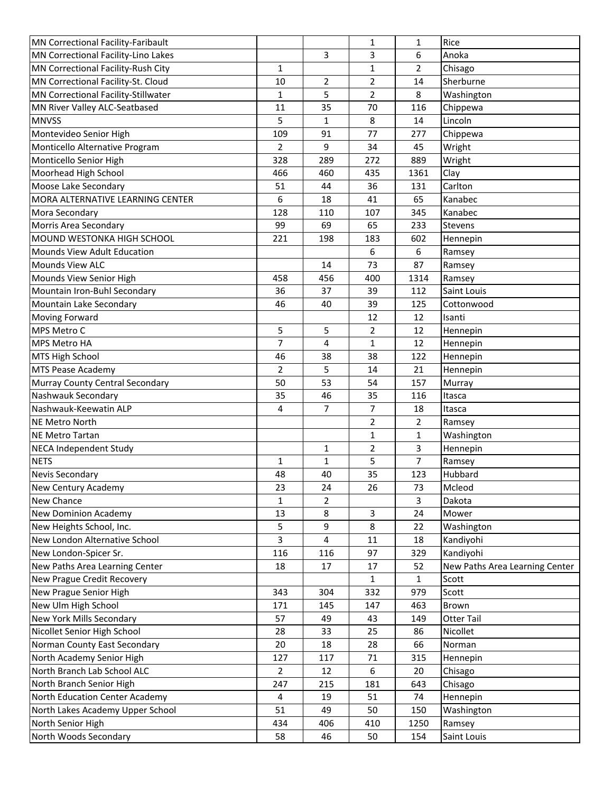| MN Correctional Facility-Faribault  |                |              | 1              | $\mathbf{1}$   | Rice                           |
|-------------------------------------|----------------|--------------|----------------|----------------|--------------------------------|
| MN Correctional Facility-Lino Lakes |                | 3            | 3              | 6              | Anoka                          |
| MN Correctional Facility-Rush City  | $\mathbf{1}$   |              | 1              | $\overline{2}$ | Chisago                        |
| MN Correctional Facility-St. Cloud  | 10             | 2            | $\overline{2}$ | 14             | Sherburne                      |
| MN Correctional Facility-Stillwater | $\mathbf{1}$   | 5            | $\overline{2}$ | 8              | Washington                     |
| MN River Valley ALC-Seatbased       | 11             | 35           | 70             | 116            | Chippewa                       |
| <b>MNVSS</b>                        | 5              | 1            | 8              | 14             | Lincoln                        |
| Montevideo Senior High              | 109            | 91           | 77             | 277            | Chippewa                       |
| Monticello Alternative Program      | 2              | 9            | 34             | 45             | Wright                         |
| Monticello Senior High              | 328            | 289          | 272            | 889            | Wright                         |
| Moorhead High School                | 466            | 460          | 435            | 1361           | Clay                           |
| Moose Lake Secondary                | 51             | 44           | 36             | 131            | Carlton                        |
| MORA ALTERNATIVE LEARNING CENTER    | 6              | 18           | 41             | 65             | Kanabec                        |
| Mora Secondary                      | 128            | 110          | 107            | 345            | Kanabec                        |
| Morris Area Secondary               | 99             | 69           | 65             | 233            | Stevens                        |
| MOUND WESTONKA HIGH SCHOOL          | 221            | 198          | 183            | 602            | Hennepin                       |
| <b>Mounds View Adult Education</b>  |                |              | 6              | 6              | Ramsey                         |
| <b>Mounds View ALC</b>              |                | 14           | 73             | 87             | Ramsey                         |
| Mounds View Senior High             | 458            | 456          | 400            | 1314           | Ramsey                         |
| Mountain Iron-Buhl Secondary        | 36             | 37           | 39             | 112            | Saint Louis                    |
| Mountain Lake Secondary             | 46             | 40           | 39             | 125            | Cottonwood                     |
| <b>Moving Forward</b>               |                |              | 12             | 12             | Isanti                         |
| MPS Metro C                         | 5              | 5            | $\overline{2}$ | 12             | Hennepin                       |
| <b>MPS Metro HA</b>                 | $\overline{7}$ | 4            | $\mathbf{1}$   | 12             |                                |
|                                     |                |              |                |                | Hennepin                       |
| MTS High School                     | 46             | 38           | 38             | 122            | Hennepin                       |
| <b>MTS Pease Academy</b>            | $\overline{2}$ | 5            | 14             | 21             | Hennepin                       |
| Murray County Central Secondary     | 50             | 53           | 54             | 157            | Murray                         |
| Nashwauk Secondary                  | 35             | 46           | 35             | 116            | Itasca                         |
| Nashwauk-Keewatin ALP               | 4              | 7            | $\overline{7}$ | 18             | Itasca                         |
| <b>NE Metro North</b>               |                |              | 2              | $\overline{2}$ | Ramsey                         |
| <b>NE Metro Tartan</b>              |                |              | 1              | $\mathbf{1}$   | Washington                     |
| <b>NECA Independent Study</b>       |                | $\mathbf{1}$ | $\overline{2}$ | 3              | Hennepin                       |
| <b>NETS</b>                         | $\mathbf{1}$   | 1            | 5              | $\overline{7}$ | Ramsey                         |
| Nevis Secondary                     | 48             | 40           | 35             | 123            | Hubbard                        |
| New Century Academy                 | 23             | 24           | 26             | 73             | Mcleod                         |
| New Chance                          | 1              | 2            |                | 3              | Dakota                         |
| <b>New Dominion Academy</b>         | 13             | 8            | 3              | 24             | Mower                          |
| New Heights School, Inc.            | 5              | 9            | 8              | 22             | Washington                     |
| New London Alternative School       | 3              | 4            | 11             | 18             | Kandiyohi                      |
| New London-Spicer Sr.               | 116            | 116          | 97             | 329            | Kandiyohi                      |
| New Paths Area Learning Center      | 18             | 17           | 17             | 52             | New Paths Area Learning Center |
| New Prague Credit Recovery          |                |              | 1              | $\mathbf{1}$   | Scott                          |
| New Prague Senior High              | 343            | 304          | 332            | 979            | Scott                          |
| New Ulm High School                 | 171            | 145          | 147            | 463            | Brown                          |
| New York Mills Secondary            | 57             | 49           | 43             | 149            | <b>Otter Tail</b>              |
| Nicollet Senior High School         | 28             | 33           | 25             | 86             | Nicollet                       |
| Norman County East Secondary        | 20             | 18           | 28             | 66             | Norman                         |
| North Academy Senior High           | 127            | 117          | 71             | 315            | Hennepin                       |
| North Branch Lab School ALC         | 2              | 12           | 6              | 20             | Chisago                        |
| North Branch Senior High            | 247            | 215          | 181            | 643            | Chisago                        |
| North Education Center Academy      | 4              | 19           | 51             | 74             | Hennepin                       |
| North Lakes Academy Upper School    | 51             | 49           | 50             | 150            | Washington                     |
| North Senior High                   | 434            | 406          | 410            | 1250           | Ramsey                         |
| North Woods Secondary               | 58             | 46           | 50             | 154            | Saint Louis                    |
|                                     |                |              |                |                |                                |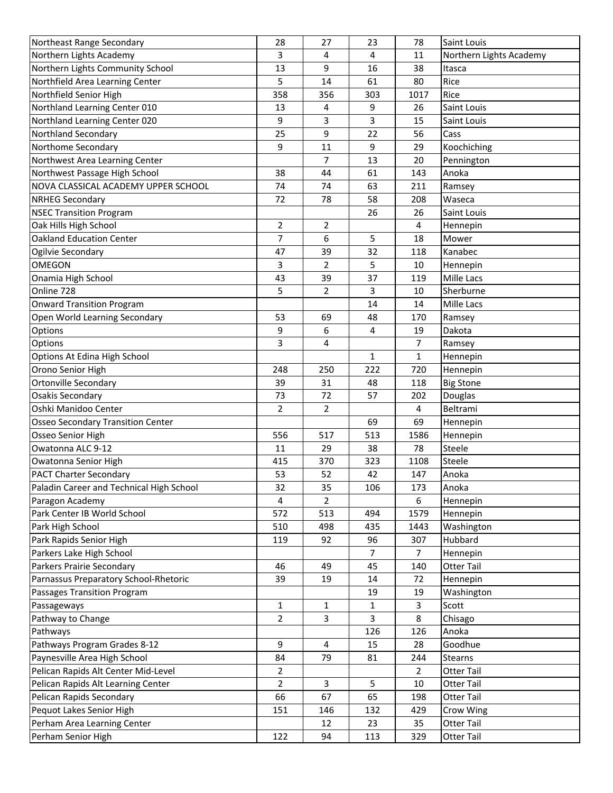| Northeast Range Secondary                | 28             | 27  | 23  | 78             | Saint Louis             |
|------------------------------------------|----------------|-----|-----|----------------|-------------------------|
| Northern Lights Academy                  | 3              | 4   | 4   | 11             | Northern Lights Academy |
| Northern Lights Community School         | 13             | 9   | 16  | 38             | Itasca                  |
| Northfield Area Learning Center          | 5              | 14  | 61  | 80             | Rice                    |
| Northfield Senior High                   | 358            | 356 | 303 | 1017           | Rice                    |
| Northland Learning Center 010            | 13             | 4   | 9   | 26             | Saint Louis             |
| Northland Learning Center 020            | 9              | 3   | 3   | 15             | Saint Louis             |
| Northland Secondary                      | 25             | 9   | 22  | 56             | Cass                    |
| Northome Secondary                       | 9              | 11  | 9   | 29             | Koochiching             |
| Northwest Area Learning Center           |                | 7   | 13  | 20             | Pennington              |
| Northwest Passage High School            | 38             | 44  | 61  | 143            | Anoka                   |
| NOVA CLASSICAL ACADEMY UPPER SCHOOL      | 74             | 74  | 63  | 211            | Ramsey                  |
| <b>NRHEG Secondary</b>                   | 72             | 78  | 58  | 208            | Waseca                  |
| <b>NSEC Transition Program</b>           |                |     | 26  | 26             | Saint Louis             |
| Oak Hills High School                    | 2              | 2   |     | 4              | Hennepin                |
| <b>Oakland Education Center</b>          | 7              | 6   | 5   | 18             | Mower                   |
| Ogilvie Secondary                        | 47             | 39  | 32  | 118            | Kanabec                 |
| <b>OMEGON</b>                            | 3              | 2   | 5   | 10             | Hennepin                |
| Onamia High School                       | 43             | 39  | 37  | 119            | Mille Lacs              |
| Online 728                               | 5              | 2   | 3   | 10             | Sherburne               |
| <b>Onward Transition Program</b>         |                |     | 14  | 14             | Mille Lacs              |
| Open World Learning Secondary            | 53             | 69  | 48  | 170            |                         |
| Options                                  | 9              | 6   | 4   | 19             | Ramsey<br>Dakota        |
| Options                                  | 3              | 4   |     | $\overline{7}$ |                         |
| Options At Edina High School             |                |     | 1   | 1              | Ramsey                  |
|                                          |                |     |     |                | Hennepin                |
| Orono Senior High                        | 248<br>39      | 250 | 222 | 720            | Hennepin                |
| Ortonville Secondary                     |                | 31  | 48  | 118            | <b>Big Stone</b>        |
| <b>Osakis Secondary</b>                  | 73             | 72  | 57  | 202            | Douglas                 |
| Oshki Manidoo Center                     | $\overline{2}$ | 2   |     | $\overline{4}$ | Beltrami                |
| <b>Osseo Secondary Transition Center</b> |                |     | 69  | 69             | Hennepin                |
| Osseo Senior High                        | 556            | 517 | 513 | 1586           | Hennepin                |
| Owatonna ALC 9-12                        | 11             | 29  | 38  | 78             | Steele                  |
| Owatonna Senior High                     | 415            | 370 | 323 | 1108           | Steele                  |
| <b>PACT Charter Secondary</b>            | 53             | 52  | 42  | 147            | Anoka                   |
| Paladin Career and Technical High School | 32             | 35  | 106 | 173            | Anoka                   |
| Paragon Academy                          | 4              | 2   |     | 6              | Hennepin                |
| Park Center IB World School              | 572            | 513 | 494 | 1579           | Hennepin                |
| Park High School                         | 510            | 498 | 435 | 1443           | Washington              |
| Park Rapids Senior High                  | 119            | 92  | 96  | 307            | Hubbard                 |
| Parkers Lake High School                 |                |     | 7   | $\overline{7}$ | Hennepin                |
| Parkers Prairie Secondary                | 46             | 49  | 45  | 140            | Otter Tail              |
| Parnassus Preparatory School-Rhetoric    | 39             | 19  | 14  | 72             | Hennepin                |
| Passages Transition Program              |                |     | 19  | 19             | Washington              |
| Passageways                              | $\mathbf{1}$   | 1   | 1   | $\overline{3}$ | Scott                   |
| Pathway to Change                        | $\overline{2}$ | 3   | 3   | 8              | Chisago                 |
| Pathways                                 |                |     | 126 | 126            | Anoka                   |
| Pathways Program Grades 8-12             | 9              | 4   | 15  | 28             | Goodhue                 |
| Paynesville Area High School             | 84             | 79  | 81  | 244            | Stearns                 |
| Pelican Rapids Alt Center Mid-Level      | $\overline{2}$ |     |     | $\overline{2}$ | Otter Tail              |
| Pelican Rapids Alt Learning Center       | $\overline{2}$ | 3   | 5   | 10             | Otter Tail              |
| Pelican Rapids Secondary                 | 66             | 67  | 65  | 198            | Otter Tail              |
| Pequot Lakes Senior High                 | 151            | 146 | 132 | 429            | Crow Wing               |
| Perham Area Learning Center              |                | 12  | 23  | 35             | Otter Tail              |
| Perham Senior High                       | 122            | 94  | 113 | 329            | Otter Tail              |
|                                          |                |     |     |                |                         |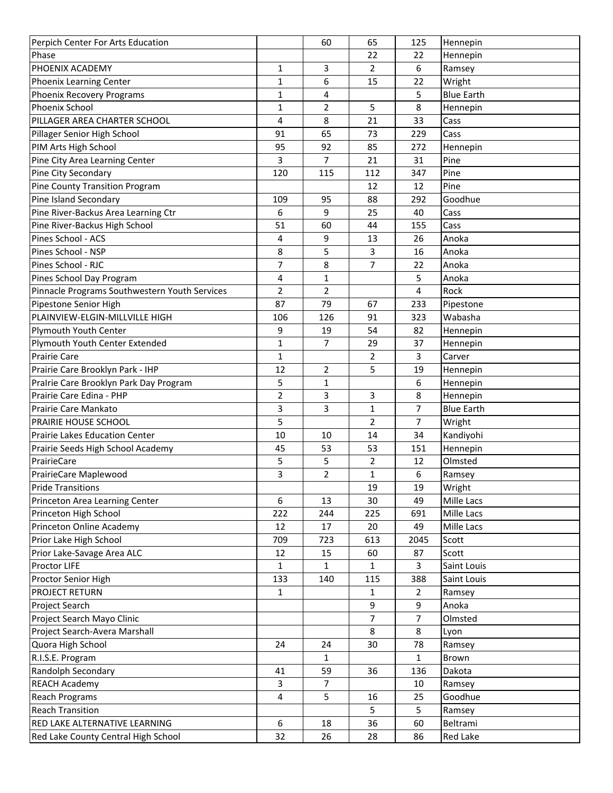| Perpich Center For Arts Education                       |                | 60             | 65             | 125                 | Hennepin          |
|---------------------------------------------------------|----------------|----------------|----------------|---------------------|-------------------|
| Phase                                                   |                |                | 22             | 22                  | Hennepin          |
| PHOENIX ACADEMY                                         | 1              | 3              | $\overline{2}$ | 6                   | Ramsey            |
| Phoenix Learning Center                                 | $\mathbf{1}$   | 6              | 15             | 22                  | Wright            |
| Phoenix Recovery Programs                               | $\mathbf{1}$   | 4              |                | 5                   | <b>Blue Earth</b> |
| <b>Phoenix School</b>                                   | $\mathbf{1}$   | $\overline{2}$ | 5              | 8                   | Hennepin          |
| PILLAGER AREA CHARTER SCHOOL                            | 4              | 8              | 21             | 33                  | Cass              |
| Pillager Senior High School                             | 91             | 65             | 73             | 229                 | Cass              |
| PIM Arts High School                                    | 95             | 92             | 85             | 272                 | Hennepin          |
| Pine City Area Learning Center                          | 3              | 7              | 21             | 31                  | Pine              |
| Pine City Secondary                                     | 120            | 115            | 112            | 347                 | Pine              |
| Pine County Transition Program                          |                |                | 12             | 12                  | Pine              |
| Pine Island Secondary                                   | 109            | 95             | 88             | 292                 | Goodhue           |
| Pine River-Backus Area Learning Ctr                     | 6              | 9              | 25             | 40                  | Cass              |
| Pine River-Backus High School                           | 51             | 60             | 44             | 155                 | Cass              |
| Pines School - ACS                                      | 4              | 9              | 13             | 26                  | Anoka             |
| Pines School - NSP                                      | 8              | 5              | 3              | 16                  | Anoka             |
| Pines School - RJC                                      | 7              | 8              | $\overline{7}$ | 22                  | Anoka             |
| Pines School Day Program                                | 4              | 1              |                | 5                   | Anoka             |
| Pinnacle Programs Southwestern Youth Services           | $\overline{2}$ | $\overline{2}$ |                | 4                   | Rock              |
| Pipestone Senior High                                   | 87             | 79             | 67             | 233                 | Pipestone         |
| PLAINVIEW-ELGIN-MILLVILLE HIGH                          | 106            | 126            | 91             | 323                 | Wabasha           |
| Plymouth Youth Center                                   | 9              | 19             | 54             | 82                  | Hennepin          |
| Plymouth Youth Center Extended                          | $\mathbf{1}$   | 7              | 29             | 37                  | Hennepin          |
| <b>Prairie Care</b>                                     | $\mathbf{1}$   |                | $\overline{2}$ | 3                   | Carver            |
| Prairie Care Brooklyn Park - IHP                        | 12             | 2              | 5              | 19                  | Hennepin          |
| Pralrie Care Brooklyn Park Day Program                  | 5              | 1              |                | 6                   | Hennepin          |
| Prairie Care Edina - PHP                                | $\overline{2}$ | 3              | 3              | 8                   | Hennepin          |
| Prairie Care Mankato                                    | 3              | 3              | $\mathbf{1}$   | 7                   | <b>Blue Earth</b> |
| PRAIRIE HOUSE SCHOOL                                    | 5              |                | 2              | $\overline{7}$      | Wright            |
| Prairie Lakes Education Center                          | 10             | 10             | 14             | 34                  | Kandiyohi         |
| Prairie Seeds High School Academy                       | 45             | 53             | 53             | 151                 | Hennepin          |
| PrairieCare                                             | 5              | 5              | $\overline{2}$ | 12                  | Olmsted           |
| PrairieCare Maplewood                                   | 3              | $\overline{2}$ | $\mathbf{1}$   | 6                   | Ramsey            |
| <b>Pride Transitions</b>                                |                |                | 19             | 19                  | Wright            |
|                                                         | 6              | 13             | 30             | 49                  | Mille Lacs        |
| Princeton Area Learning Center<br>Princeton High School | 222            | 244            | 225            | 691                 | Mille Lacs        |
|                                                         | 12             |                | 20             | 49                  | Mille Lacs        |
| Princeton Online Academy<br>Prior Lake High School      | 709            | 17<br>723      | 613            | 2045                | Scott             |
|                                                         | 12             | 15             | 60             | 87                  | Scott             |
| Prior Lake-Savage Area ALC<br>Proctor LIFE              | $\mathbf{1}$   | 1              | 1              | 3                   |                   |
| Proctor Senior High                                     | 133            | 140            |                | 388                 | Saint Louis       |
| <b>PROJECT RETURN</b>                                   |                |                | 115            |                     | Saint Louis       |
|                                                         | $\mathbf{1}$   |                | 1              | $\overline{2}$<br>9 | Ramsey            |
| Project Search                                          |                |                | 9              |                     | Anoka             |
| Project Search Mayo Clinic                              |                |                | $\overline{7}$ | $\overline{7}$      | Olmsted           |
| Project Search-Avera Marshall                           |                |                | 8              | 8                   | Lyon              |
| Quora High School                                       | 24             | 24             | 30             | 78                  | Ramsey            |
| R.I.S.E. Program                                        |                | 1              |                | $\mathbf{1}$        | Brown             |
| Randolph Secondary                                      | 41             | 59             | 36             | 136                 | Dakota            |
| <b>REACH Academy</b>                                    | 3              | 7              |                | 10                  | Ramsey            |
| <b>Reach Programs</b>                                   | 4              | 5              | 16             | 25                  | Goodhue           |
| <b>Reach Transition</b>                                 |                |                | 5              | 5                   | Ramsey            |
| RED LAKE ALTERNATIVE LEARNING                           | 6              | 18             | 36             | 60                  | Beltrami          |
| Red Lake County Central High School                     | 32             | 26             | 28             | 86                  | Red Lake          |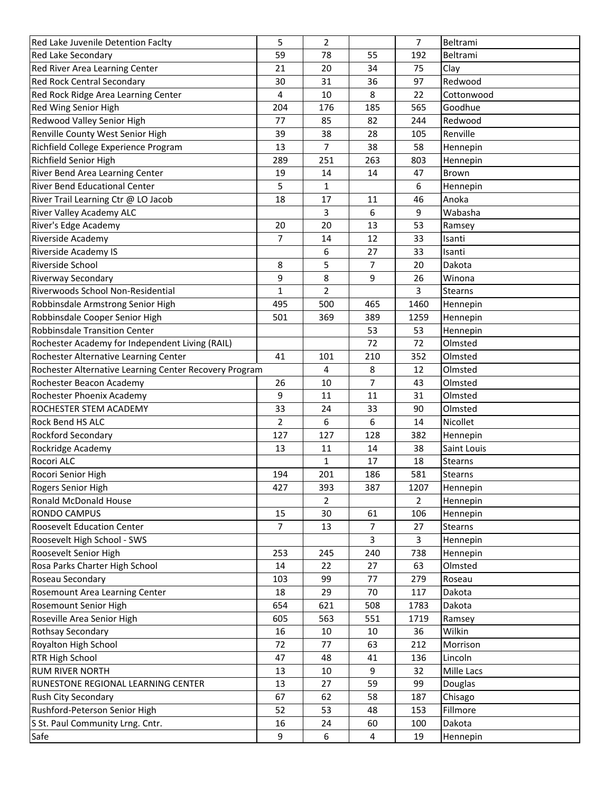| Red Lake Juvenile Detention Faclty                     | 5              | 2              |                | $\overline{7}$ | Beltrami            |
|--------------------------------------------------------|----------------|----------------|----------------|----------------|---------------------|
| Red Lake Secondary                                     | 59             | 78             | 55             | 192            | Beltrami            |
| Red River Area Learning Center                         | 21             | 20             | 34             | 75             | Clay                |
| <b>Red Rock Central Secondary</b>                      | 30             | 31             | 36             | 97             | Redwood             |
| Red Rock Ridge Area Learning Center                    | 4              | 10             | 8              | 22             | Cottonwood          |
| Red Wing Senior High                                   | 204            | 176            | 185            | 565            | Goodhue             |
| Redwood Valley Senior High                             | 77             | 85             | 82             | 244            | Redwood             |
| Renville County West Senior High                       | 39             | 38             | 28             | 105            | Renville            |
| Richfield College Experience Program                   | 13             | 7              | 38             | 58             | Hennepin            |
| Richfield Senior High                                  | 289            | 251            | 263            | 803            | Hennepin            |
| River Bend Area Learning Center                        | 19             | 14             | 14             | 47             | Brown               |
| River Bend Educational Center                          | 5              | 1              |                | 6              | Hennepin            |
| River Trail Learning Ctr @ LO Jacob                    | 18             | 17             | 11             | 46             | Anoka               |
| River Valley Academy ALC                               |                | 3              | 6              | 9              | Wabasha             |
| River's Edge Academy                                   | 20             | 20             | 13             | 53             | Ramsey              |
| Riverside Academy                                      | $\overline{7}$ | 14             | 12             | 33             | Isanti              |
| Riverside Academy IS                                   |                | 6              | 27             | 33             | Isanti              |
| Riverside School                                       | 8              | 5              | 7              | 20             | Dakota              |
| Riverway Secondary                                     | 9              | 8              | 9              | 26             | Winona              |
| Riverwoods School Non-Residential                      | $\mathbf{1}$   | $\overline{2}$ |                | 3              | <b>Stearns</b>      |
| Robbinsdale Armstrong Senior High                      | 495            | 500            | 465            | 1460           | Hennepin            |
| Robbinsdale Cooper Senior High                         | 501            | 369            | 389            | 1259           | Hennepin            |
| <b>Robbinsdale Transition Center</b>                   |                |                | 53             | 53             |                     |
| Rochester Academy for Independent Living (RAIL)        |                |                | 72             | 72             | Hennepin<br>Olmsted |
| Rochester Alternative Learning Center                  | 41             | 101            | 210            | 352            | Olmsted             |
|                                                        |                |                |                |                |                     |
| Rochester Alternative Learning Center Recovery Program |                | 4              | 8              | 12             | Olmsted             |
| Rochester Beacon Academy                               | 26             | 10             | $\overline{7}$ | 43             | Olmsted             |
| Rochester Phoenix Academy                              | 9              | 11             | 11             | 31             | Olmsted             |
| ROCHESTER STEM ACADEMY                                 | 33             | 24             | 33             | 90             | Olmsted             |
| Rock Bend HS ALC                                       | 2              | 6              | 6              | 14             | Nicollet            |
| Rockford Secondary                                     | 127            | 127            | 128            | 382            | Hennepin            |
| Rockridge Academy                                      | 13             | 11             | 14             | 38             | Saint Louis         |
| Rocori ALC                                             |                | $\mathbf{1}$   | 17             | 18             | Stearns             |
| Rocori Senior High                                     | 194            | 201            | 186            | 581            | Stearns             |
| Rogers Senior High                                     | 427            | 393            | 387            | 1207           | Hennepin            |
| Ronald McDonald House                                  |                | 2              |                | $\overline{2}$ | Hennepin            |
| <b>RONDO CAMPUS</b>                                    | 15             | 30             | 61             | 106            | Hennepin            |
| <b>Roosevelt Education Center</b>                      | $\overline{7}$ | 13             | $\overline{7}$ | 27             | Stearns             |
| Roosevelt High School - SWS                            |                |                | 3              | $\overline{3}$ | Hennepin            |
| Roosevelt Senior High                                  | 253            | 245            | 240            | 738            | Hennepin            |
| Rosa Parks Charter High School                         | 14             | 22             | 27             | 63             | Olmsted             |
| Roseau Secondary                                       | 103            | 99             | 77             | 279            | Roseau              |
| Rosemount Area Learning Center                         | 18             | 29             | 70             | 117            | Dakota              |
| Rosemount Senior High                                  | 654            | 621            | 508            | 1783           | Dakota              |
| Roseville Area Senior High                             | 605            | 563            | 551            | 1719           | Ramsey              |
| Rothsay Secondary                                      | 16             | 10             | 10             | 36             | Wilkin              |
| Royalton High School                                   | 72             | 77             | 63             | 212            | Morrison            |
| <b>RTR High School</b>                                 | 47             | 48             | 41             | 136            | Lincoln             |
| <b>RUM RIVER NORTH</b>                                 | 13             | 10             | 9              | 32             | Mille Lacs          |
| RUNESTONE REGIONAL LEARNING CENTER                     | 13             | 27             | 59             | 99             | Douglas             |
| Rush City Secondary                                    | 67             | 62             | 58             | 187            | Chisago             |
| Rushford-Peterson Senior High                          | 52             | 53             | 48             | 153            | Fillmore            |
| S St. Paul Community Lrng. Cntr.                       | 16             | 24             | 60             | 100            | Dakota              |
| Safe                                                   | 9              | 6              | 4              | 19             | Hennepin            |
|                                                        |                |                |                |                |                     |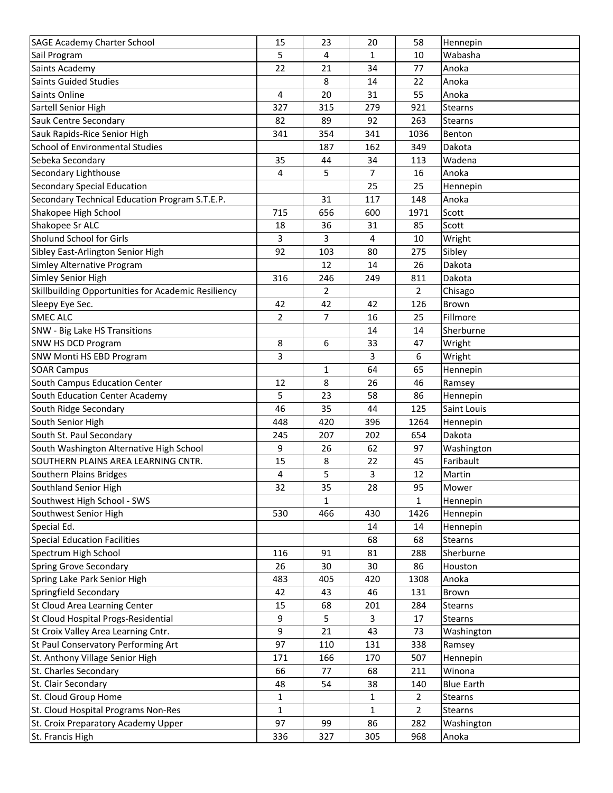| <b>SAGE Academy Charter School</b>                  | 15             | 23  | 20             | 58                 | Hennepin            |
|-----------------------------------------------------|----------------|-----|----------------|--------------------|---------------------|
| Sail Program                                        | 5              | 4   | 1              | 10                 | Wabasha             |
| Saints Academy                                      | 22             | 21  | 34             | 77                 | Anoka               |
| <b>Saints Guided Studies</b>                        |                | 8   | 14             | 22                 | Anoka               |
| Saints Online                                       | 4              | 20  | 31             | 55                 | Anoka               |
| Sartell Senior High                                 | 327            | 315 | 279            | 921                | <b>Stearns</b>      |
| Sauk Centre Secondary                               | 82             | 89  | 92             | 263                | <b>Stearns</b>      |
| Sauk Rapids-Rice Senior High                        | 341            | 354 | 341            | 1036               | Benton              |
| School of Environmental Studies                     |                | 187 | 162            | 349                | Dakota              |
| Sebeka Secondary                                    | 35             | 44  | 34             | 113                | Wadena              |
| Secondary Lighthouse                                | 4              | 5   | $\overline{7}$ | 16                 | Anoka               |
| <b>Secondary Special Education</b>                  |                |     | 25             | 25                 | Hennepin            |
| Secondary Technical Education Program S.T.E.P.      |                | 31  | 117            | 148                | Anoka               |
| Shakopee High School                                | 715            | 656 | 600            | 1971               | Scott               |
| Shakopee Sr ALC                                     | 18             | 36  | 31             | 85                 | Scott               |
| Sholund School for Girls                            | 3              | 3   | 4              | 10                 | Wright              |
| Sibley East-Arlington Senior High                   | 92             | 103 | 80             | 275                | Sibley              |
| Simley Alternative Program                          |                | 12  | 14             | 26                 | Dakota              |
| Simley Senior High                                  | 316            | 246 | 249            | 811                | Dakota              |
| Skillbuilding Opportunities for Academic Resiliency |                | 2   |                | $\overline{2}$     | Chisago             |
| Sleepy Eye Sec.                                     | 42             | 42  | 42             | 126                | Brown               |
| <b>SMEC ALC</b>                                     | $\overline{2}$ | 7   | 16             | 25                 | Fillmore            |
| SNW - Big Lake HS Transitions                       |                |     | 14             | 14                 | Sherburne           |
| SNW HS DCD Program                                  | 8              | 6   | 33             | 47                 | Wright              |
| SNW Monti HS EBD Program                            | 3              |     | 3              | 6                  | Wright              |
| <b>SOAR Campus</b>                                  |                | 1   | 64             | 65                 | Hennepin            |
| South Campus Education Center                       | 12             | 8   | 26             | 46                 | Ramsey              |
| South Education Center Academy                      | 5              | 23  | 58             | 86                 | Hennepin            |
| South Ridge Secondary                               | 46             | 35  | 44             | 125                | Saint Louis         |
| South Senior High                                   | 448            | 420 | 396            | 1264               | Hennepin            |
| South St. Paul Secondary                            | 245            | 207 | 202            | 654                | Dakota              |
| South Washington Alternative High School            | 9              | 26  | 62             | 97                 | Washington          |
| SOUTHERN PLAINS AREA LEARNING CNTR.                 | 15             | 8   | 22             | 45                 | Faribault           |
| Southern Plains Bridges                             | 4              | 5   | 3              | 12                 | Martin              |
| Southland Senior High                               |                | 35  | 28             |                    |                     |
| Southwest High School - SWS                         | 32             | 1   |                | 95<br>$\mathbf{1}$ | Mower<br>Hennepin   |
| Southwest Senior High                               | 530            | 466 | 430            | 1426               |                     |
| Special Ed.                                         |                |     | 14             | 14                 | Hennepin            |
| <b>Special Education Facilities</b>                 |                |     | 68             | 68                 | Hennepin<br>Stearns |
| Spectrum High School                                | 116            | 91  | 81             | 288                | Sherburne           |
| <b>Spring Grove Secondary</b>                       | 26             | 30  | 30             | 86                 | Houston             |
| Spring Lake Park Senior High                        | 483            | 405 | 420            | 1308               | Anoka               |
| Springfield Secondary                               | 42             | 43  | 46             | 131                | Brown               |
| St Cloud Area Learning Center                       |                |     |                | 284                |                     |
|                                                     | 15             | 68  | 201            |                    | Stearns             |
| St Cloud Hospital Progs-Residential                 | 9              | 5   | 3              | 17                 | Stearns             |
| St Croix Valley Area Learning Cntr.                 | 9              | 21  | 43             | 73                 | Washington          |
| St Paul Conservatory Performing Art                 | 97             | 110 | 131            | 338                | Ramsey              |
| St. Anthony Village Senior High                     | 171            | 166 | 170            | 507                | Hennepin            |
| St. Charles Secondary                               | 66             | 77  | 68             | 211                | Winona              |
| St. Clair Secondary                                 | 48             | 54  | 38             | 140                | <b>Blue Earth</b>   |
| St. Cloud Group Home                                | 1              |     | 1              | $\overline{2}$     | Stearns             |
| St. Cloud Hospital Programs Non-Res                 | $\mathbf{1}$   |     | 1              | $\overline{2}$     | Stearns             |
| St. Croix Preparatory Academy Upper                 | 97             | 99  | 86             | 282                | Washington          |
| St. Francis High                                    | 336            | 327 | 305            | 968                | Anoka               |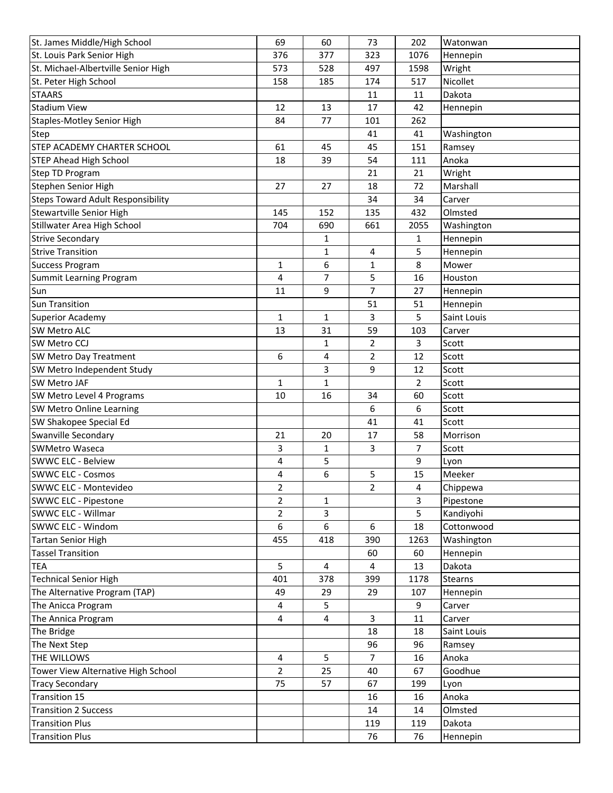| St. James Middle/High School             | 69             | 60           | 73                  | 202                     | Watonwan       |
|------------------------------------------|----------------|--------------|---------------------|-------------------------|----------------|
| St. Louis Park Senior High               | 376            | 377          | 323                 | 1076                    | Hennepin       |
| St. Michael-Albertville Senior High      | 573            | 528          | 497                 | 1598                    | Wright         |
| St. Peter High School                    | 158            | 185          | 174                 | 517                     | Nicollet       |
| <b>STAARS</b>                            |                |              | 11                  | 11                      | Dakota         |
| <b>Stadium View</b>                      | 12             | 13           | 17                  | 42                      | Hennepin       |
| <b>Staples-Motley Senior High</b>        | 84             | 77           | 101                 | 262                     |                |
| <b>Step</b>                              |                |              | 41                  | 41                      | Washington     |
| STEP ACADEMY CHARTER SCHOOL              | 61             | 45           | 45                  | 151                     | Ramsey         |
| <b>STEP Ahead High School</b>            | 18             | 39           | 54                  | 111                     | Anoka          |
| Step TD Program                          |                |              | 21                  | 21                      | Wright         |
| Stephen Senior High                      | 27             | 27           | 18                  | 72                      | Marshall       |
| <b>Steps Toward Adult Responsibility</b> |                |              | 34                  | 34                      | Carver         |
| Stewartville Senior High                 | 145            | 152          | 135                 | 432                     | Olmsted        |
| Stillwater Area High School              | 704            | 690          | 661                 | 2055                    | Washington     |
| <b>Strive Secondary</b>                  |                | 1            |                     | 1                       | Hennepin       |
| <b>Strive Transition</b>                 |                | 1            | 4                   | 5                       | Hennepin       |
| <b>Success Program</b>                   | 1              | 6            | $\mathbf{1}$        | 8                       | Mower          |
| <b>Summit Learning Program</b>           | 4              | 7            | 5                   | 16                      | Houston        |
| Sun                                      | 11             | 9            | 7                   | 27                      | Hennepin       |
| <b>Sun Transition</b>                    |                |              | 51                  | 51                      | Hennepin       |
| <b>Superior Academy</b>                  | 1              | $\mathbf{1}$ | 3                   | 5                       | Saint Louis    |
| <b>SW Metro ALC</b>                      | 13             | 31           | 59                  | 103                     | Carver         |
| SW Metro CCJ                             |                | $\mathbf{1}$ | $\overline{2}$      | 3                       | Scott          |
| SW Metro Day Treatment                   | 6              | 4            | 2                   | 12                      | Scott          |
| SW Metro Independent Study               |                | 3            | 9                   | 12                      | Scott          |
| <b>SW Metro JAF</b>                      | 1              | 1            |                     | $\overline{2}$          | Scott          |
| SW Metro Level 4 Programs                | 10             | 16           | 34                  | 60                      | Scott          |
| SW Metro Online Learning                 |                |              | 6                   | 6                       | Scott          |
| SW Shakopee Special Ed                   |                |              | 41                  | 41                      | Scott          |
| Swanville Secondary                      | 21             | 20           | 17                  | 58                      | Morrison       |
| <b>SWMetro Waseca</b>                    | 3              | $\mathbf{1}$ | 3                   | $\overline{7}$          | Scott          |
| <b>SWWC ELC - Belview</b>                | 4              | 5            |                     | 9                       |                |
| <b>SWWC ELC - Cosmos</b>                 |                | 6            |                     | 15                      | Lyon<br>Meeker |
| SWWC ELC - Montevideo                    | 4              |              | 5<br>$\overline{2}$ |                         |                |
|                                          | $\overline{2}$ |              |                     | $\overline{\mathbf{4}}$ | Chippewa       |
| <b>SWWC ELC - Pipestone</b>              | 2              | 1            |                     | 3                       | Pipestone      |
| SWWC ELC - Willmar                       | 2              | 3            |                     | 5                       | Kandiyohi      |
| SWWC ELC - Windom                        | 6              | 6            | 6                   | 18                      | Cottonwood     |
| <b>Tartan Senior High</b>                | 455            | 418          | 390                 | 1263                    | Washington     |
| <b>Tassel Transition</b>                 |                |              | 60                  | 60                      | Hennepin       |
| <b>TEA</b>                               | 5              | 4            | 4                   | 13                      | Dakota         |
| Technical Senior High                    | 401            | 378          | 399                 | 1178                    | Stearns        |
| The Alternative Program (TAP)            | 49             | 29           | 29                  | 107                     | Hennepin       |
| The Anicca Program                       | 4              | 5            |                     | 9                       | Carver         |
| The Annica Program                       | 4              | 4            | 3                   | 11                      | Carver         |
| The Bridge                               |                |              | 18                  | 18                      | Saint Louis    |
| The Next Step                            |                |              | 96                  | 96                      | Ramsey         |
| THE WILLOWS                              | 4              | 5            | 7                   | 16                      | Anoka          |
| Tower View Alternative High School       | $\overline{2}$ | 25           | 40                  | 67                      | Goodhue        |
| <b>Tracy Secondary</b>                   | 75             | 57           | 67                  | 199                     | Lyon           |
| Transition 15                            |                |              | 16                  | 16                      | Anoka          |
| <b>Transition 2 Success</b>              |                |              | 14                  | 14                      | Olmsted        |
| <b>Transition Plus</b>                   |                |              | 119                 | 119                     | Dakota         |
| <b>Transition Plus</b>                   |                |              | 76                  | 76                      | Hennepin       |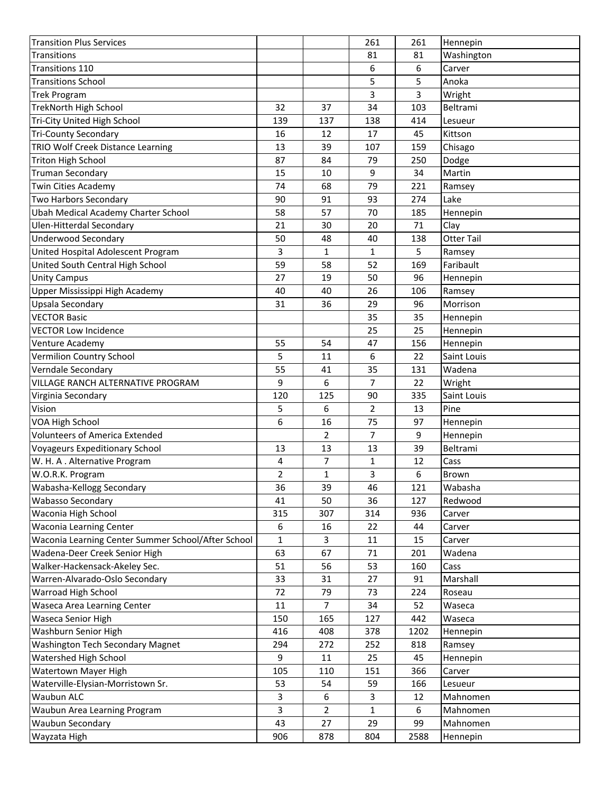| <b>Transition Plus Services</b>                          |                |                | 261                  | 261     | Hennepin             |
|----------------------------------------------------------|----------------|----------------|----------------------|---------|----------------------|
| <b>Transitions</b>                                       |                |                | 81                   | 81      | Washington           |
| Transitions 110                                          |                |                | 6                    | 6       | Carver               |
| <b>Transitions School</b>                                |                |                | 5                    | 5       | Anoka                |
| <b>Trek Program</b>                                      |                |                | 3                    | 3       | Wright               |
| <b>TrekNorth High School</b>                             | 32             | 37             | 34                   | 103     | Beltrami             |
| Tri-City United High School                              | 139            | 137            | 138                  | 414     | Lesueur              |
| <b>Tri-County Secondary</b>                              | 16             | 12             | 17                   | 45      | Kittson              |
| TRIO Wolf Creek Distance Learning                        | 13             | 39             | 107                  | 159     | Chisago              |
| <b>Triton High School</b>                                | 87             | 84             | 79                   | 250     | Dodge                |
| <b>Truman Secondary</b>                                  | 15             | 10             | 9                    | 34      | Martin               |
| <b>Twin Cities Academy</b>                               | 74             | 68             | 79                   | 221     | Ramsey               |
| Two Harbors Secondary                                    | 90             | 91             | 93                   | 274     | Lake                 |
| Ubah Medical Academy Charter School                      | 58             | 57             | 70                   | 185     | Hennepin             |
| Ulen-Hitterdal Secondary                                 | 21             | 30             | 20                   | 71      | Clay                 |
| <b>Underwood Secondary</b>                               | 50             | 48             | 40                   | 138     | <b>Otter Tail</b>    |
| United Hospital Adolescent Program                       | 3              | $\mathbf{1}$   | $\mathbf{1}$         | 5       | Ramsey               |
| United South Central High School                         | 59             | 58             | 52                   | 169     | Faribault            |
| <b>Unity Campus</b>                                      | 27             | 19             | 50                   | 96      | Hennepin             |
| Upper Mississippi High Academy                           | 40             | 40             | 26                   | 106     | Ramsey               |
| Upsala Secondary                                         | 31             | 36             | 29                   | 96      | Morrison             |
| <b>VECTOR Basic</b>                                      |                |                | 35                   | 35      | Hennepin             |
| <b>VECTOR Low Incidence</b>                              |                |                | 25                   | 25      | Hennepin             |
| Venture Academy                                          | 55             | 54             | 47                   | 156     | Hennepin             |
| Vermilion Country School                                 | 5              | 11             | 6                    | 22      | Saint Louis          |
| Verndale Secondary                                       | 55             | 41             | 35                   | 131     | Wadena               |
| <b>VILLAGE RANCH ALTERNATIVE PROGRAM</b>                 | 9              | 6              | $\overline{7}$       | 22      | Wright               |
| Virginia Secondary                                       | 120            | 125            | 90                   | 335     | Saint Louis          |
|                                                          |                | 6              | $\overline{2}$       | 13      |                      |
| Vision                                                   | 5              |                |                      |         | Pine                 |
| VOA High School<br><b>Volunteers of America Extended</b> | 6              | 16             | 75<br>$\overline{7}$ | 97      | Hennepin             |
|                                                          |                | 2              | 13                   | 9<br>39 | Hennepin<br>Beltrami |
| Voyageurs Expeditionary School                           | 13             | 13             |                      |         |                      |
| W. H. A. Alternative Program                             | 4              | 7              | 1                    | 12      | Cass                 |
| W.O.R.K. Program                                         | $\overline{2}$ | $\mathbf{1}$   | 3                    | 6       | Brown                |
| Wabasha-Kellogg Secondary                                | 36             | 39             | 46                   | 121     | Wabasha              |
| <b>Wabasso Secondary</b>                                 | 41             | 50             | 36                   | 127     | Redwood              |
| Waconia High School                                      | 315            | 307            | 314                  | 936     | Carver               |
| <b>Waconia Learning Center</b>                           | 6              | 16             | 22                   | 44      | Carver               |
| Waconia Learning Center Summer School/After School       | $\mathbf{1}$   | 3              | 11                   | 15      | Carver               |
| Wadena-Deer Creek Senior High                            | 63             | 67             | 71                   | 201     | Wadena               |
| Walker-Hackensack-Akeley Sec.                            | 51             | 56             | 53                   | 160     | Cass                 |
| Warren-Alvarado-Oslo Secondary                           | 33             | 31             | 27                   | 91      | Marshall             |
| Warroad High School                                      | 72             | 79             | 73                   | 224     | Roseau               |
| Waseca Area Learning Center                              | 11             | $\overline{7}$ | 34                   | 52      | Waseca               |
| Waseca Senior High                                       | 150            | 165            | 127                  | 442     | Waseca               |
| Washburn Senior High                                     | 416            | 408            | 378                  | 1202    | Hennepin             |
| Washington Tech Secondary Magnet                         | 294            | 272            | 252                  | 818     | Ramsey               |
| Watershed High School                                    | 9              | 11             | 25                   | 45      | Hennepin             |
| Watertown Mayer High                                     | 105            | 110            | 151                  | 366     | Carver               |
| Waterville-Elysian-Morristown Sr.                        | 53             | 54             | 59                   | 166     | Lesueur              |
| <b>Waubun ALC</b>                                        | 3              | 6              | 3                    | 12      | Mahnomen             |
| Waubun Area Learning Program                             | 3              | 2              | 1                    | 6       | Mahnomen             |
| <b>Waubun Secondary</b>                                  | 43             | 27             | 29                   | 99      | Mahnomen             |
| Wayzata High                                             | 906            | 878            | 804                  | 2588    | Hennepin             |